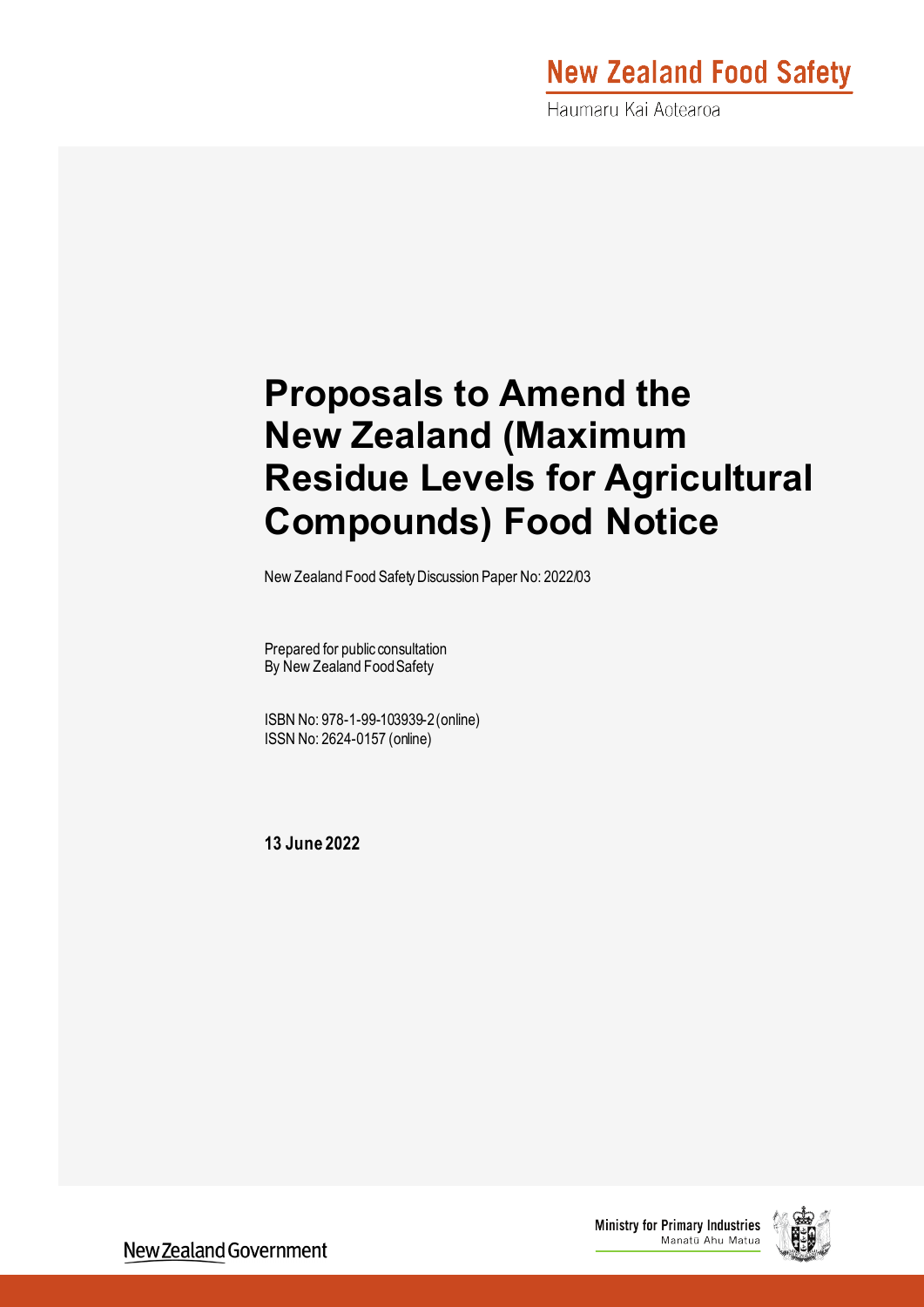# **New Zealand Food Safety**

Haumaru Kai Aotearoa

# **Proposals to Amend the New Zealand (Maximum Residue Levels for Agricultural Compounds) Food Notice**

New Zealand Food Safety Discussion Paper No: 2022/03

Prepared for public consultation By New Zealand Food Safety

ISBN No: 978-1-99-103939-2(online) ISSN No: 2624-0157 (online)

**13 June 2022**



New Zealand Government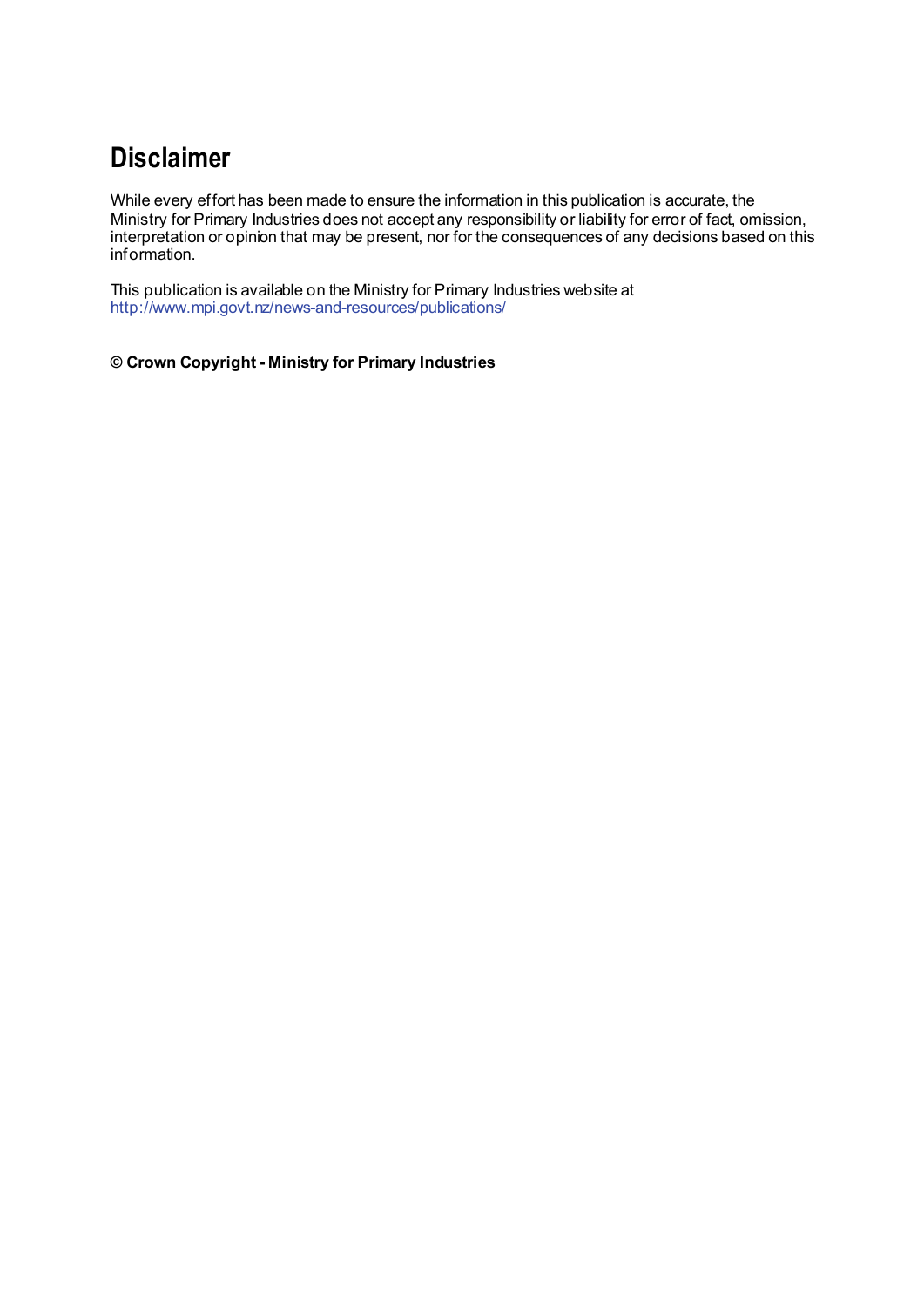## **Disclaimer**

While every effort has been made to ensure the information in this publication is accurate, the Ministry for Primary Industries does not accept any responsibility or liability for error of fact, omission, interpretation or opinion that may be present, nor for the consequences of any decisions based on this information.

This publication is available on the Ministry for Primary Industries website at <http://www.mpi.govt.nz/news-and-resources/publications/>

**© Crown Copyright - Ministry for Primary Industries**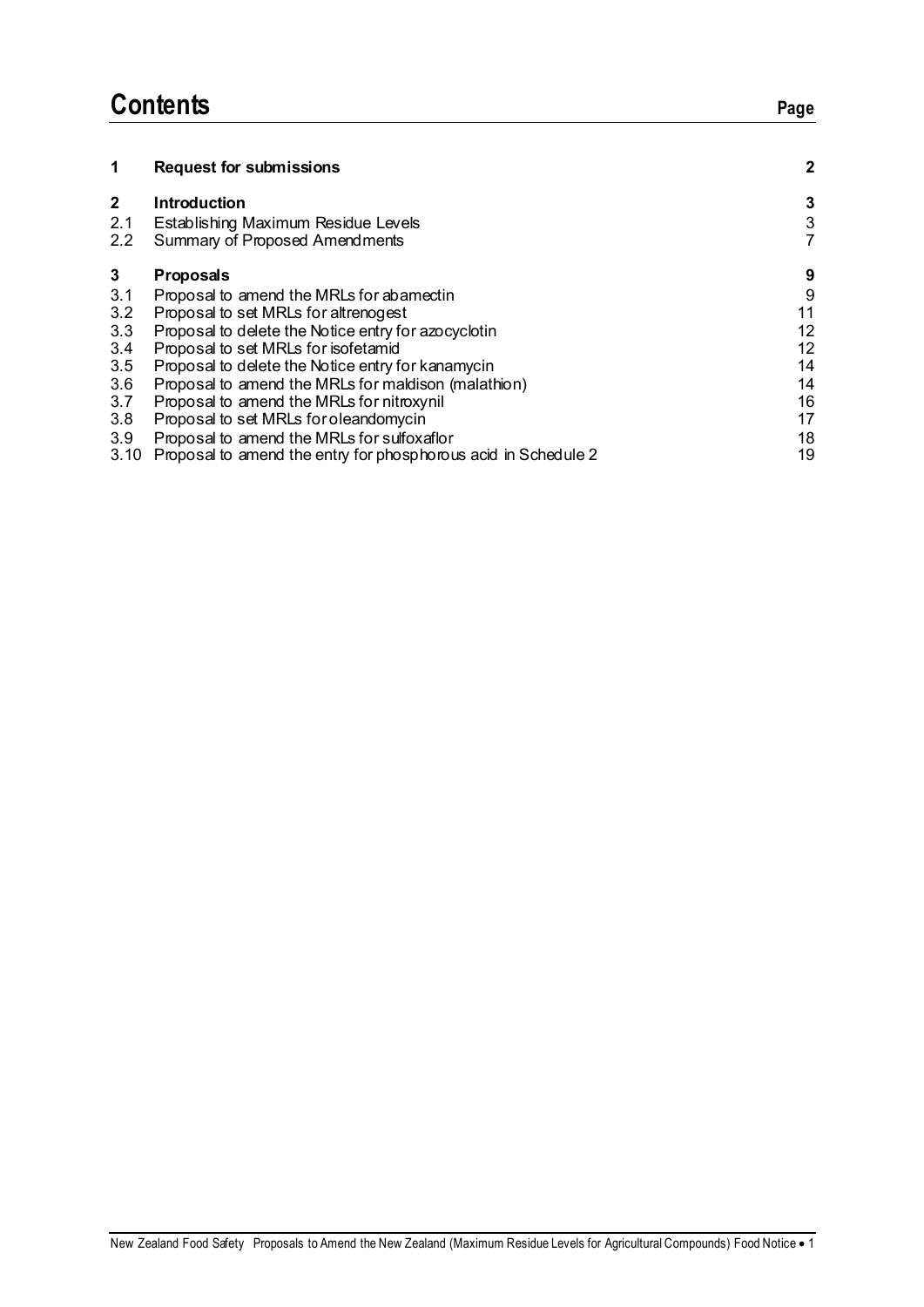## **Contents Page**

| 1            | <b>Request for submissions</b>                                 | 2             |
|--------------|----------------------------------------------------------------|---------------|
| $\mathbf{2}$ | <b>Introduction</b>                                            | 3             |
| 2.1          | Establishing Maximum Residue Levels                            | $\frac{3}{7}$ |
| 2.2          | Summary of Proposed Amendments                                 |               |
| 3            | <b>Proposals</b>                                               | 9             |
| 3.1          | Proposal to amend the MRLs for abamectin                       | 9             |
| 3.2          | Proposal to set MRLs for altrenogest                           | 11            |
| 3.3          | Proposal to delete the Notice entry for azocyclotin            | 12            |
| 3.4          | Proposal to set MRLs for isofetamid                            | 12            |
| 3.5          | Proposal to delete the Notice entry for kanamycin              | 14            |
| 3.6          | Proposal to amend the MRLs for maldison (malathion)            | 14            |
| 3.7          | Proposal to amend the MRLs for nitroxynil                      | 16            |
| 3.8          | Proposal to set MRLs for oleandomycin                          | 17            |
| 3.9          | Proposal to amend the MRLs for sulfoxaflor                     | 18            |
| 3.10         | Proposal to amend the entry for phosphorous acid in Schedule 2 | 19            |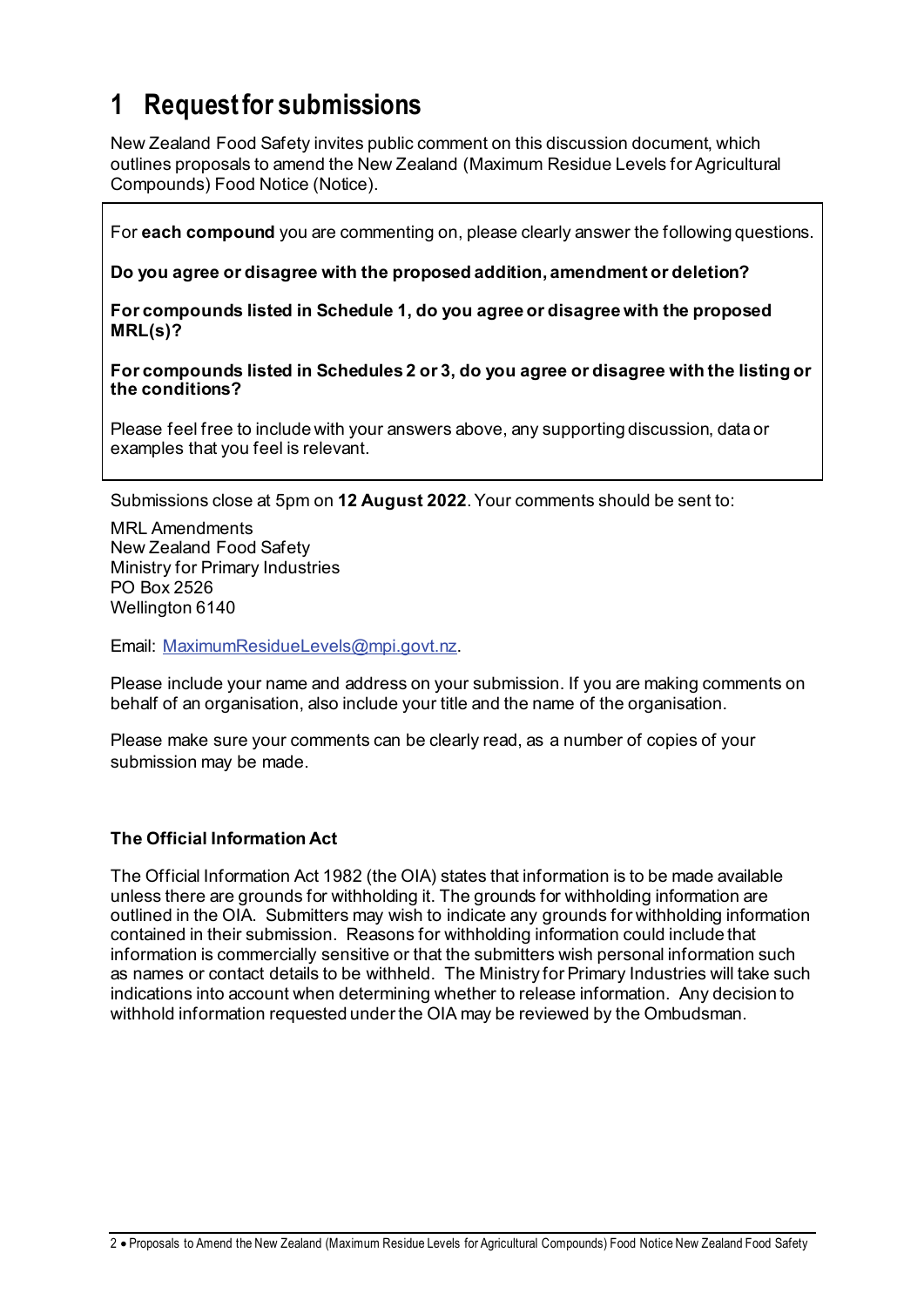## **1 Request for submissions**

New Zealand Food Safety invites public comment on this discussion document, which outlines proposals to amend the New Zealand (Maximum Residue Levels for Agricultural Compounds) Food Notice (Notice).

For **each compound** you are commenting on, please clearly answer the following questions.

**Do you agree or disagree with the proposed addition, amendment or deletion?**

**For compounds listed in Schedule 1, do you agree or disagree with the proposed MRL(s)?** 

**For compounds listed in Schedules 2 or 3, do you agree or disagree with the listing or the conditions?**

Please feel free to include with your answers above, any supporting discussion, data or examples that you feel is relevant.

Submissions close at 5pm on **12 August 2022**. Your comments should be sent to:

MRL Amendments New Zealand Food Safety Ministry for Primary Industries PO Box 2526 Wellington 6140

Email: MaximumResidueLevels@mpi.govt.nz.

Please include your name and address on your submission. If you are making comments on behalf of an organisation, also include your title and the name of the organisation.

Please make sure your comments can be clearly read, as a number of copies of your submission may be made.

#### **The Official Information Act**

The Official Information Act 1982 (the OIA) states that information is to be made available unless there are grounds for withholding it. The grounds for withholding information are outlined in the OIA. Submitters may wish to indicate any grounds for withholding information contained in their submission. Reasons for withholding information could include that information is commercially sensitive or that the submitters wish personal information such as names or contact details to be withheld. The Ministry for Primary Industries will take such indications into account when determining whether to release information. Any decision to withhold information requested under the OIA may be reviewed by the Ombudsman.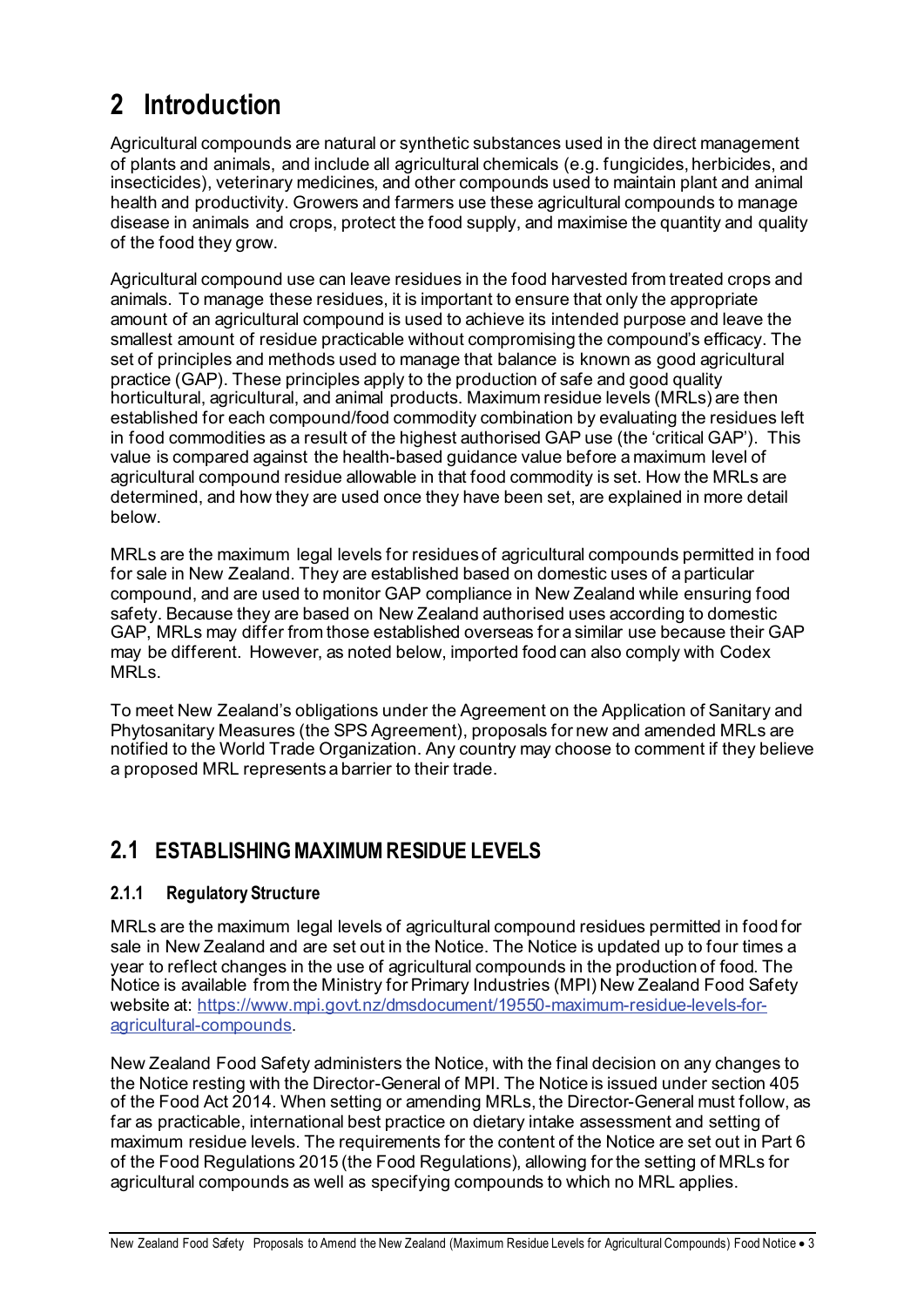## **2 Introduction**

Agricultural compounds are natural or synthetic substances used in the direct management of plants and animals, and include all agricultural chemicals (e.g. fungicides, herbicides, and insecticides), veterinary medicines, and other compounds used to maintain plant and animal health and productivity. Growers and farmers use these agricultural compounds to manage disease in animals and crops, protect the food supply, and maximise the quantity and quality of the food they grow.

Agricultural compound use can leave residues in the food harvested from treated crops and animals. To manage these residues, it is important to ensure that only the appropriate amount of an agricultural compound is used to achieve its intended purpose and leave the smallest amount of residue practicable without compromising the compound's efficacy. The set of principles and methods used to manage that balance is known as good agricultural practice (GAP). These principles apply to the production of safe and good quality horticultural, agricultural, and animal products. Maximum residue levels (MRLs) are then established for each compound/food commodity combination by evaluating the residues left in food commodities as a result of the highest authorised GAP use (the 'critical GAP'). This value is compared against the health-based guidance value before a maximum level of agricultural compound residue allowable in that food commodity is set. How the MRLs are determined, and how they are used once they have been set, are explained in more detail below.

MRLs are the maximum legal levels for residues of agricultural compounds permitted in food for sale in New Zealand. They are established based on domestic uses of a particular compound, and are used to monitor GAP compliance in New Zealand while ensuring food safety. Because they are based on New Zealand authorised uses according to domestic GAP, MRLs may differ from those established overseas for a similar use because their GAP may be different. However, as noted below, imported food can also comply with Codex MRLs.

To meet New Zealand's obligations under the Agreement on the Application of Sanitary and Phytosanitary Measures (the SPS Agreement), proposals for new and amended MRLs are notified to the World Trade Organization. Any country may choose to comment if they believe a proposed MRL represents a barrier to their trade.

### **2.1 ESTABLISHING MAXIMUM RESIDUE LEVELS**

### **2.1.1 Regulatory Structure**

MRLs are the maximum legal levels of agricultural compound residues permitted in food for sale in New Zealand and are set out in the Notice. The Notice is updated up to four times a year to reflect changes in the use of agricultural compounds in the production of food. The Notice is available from the Ministry for Primary Industries (MPI) New Zealand Food Safety website at: https://www.mpi.govt.nz/dmsdocument/19550-maximum-residue-levels-foragricultural-compounds.

New Zealand Food Safety administers the Notice, with the final decision on any changes to the Notice resting with the Director-General of MPI. The Notice is issued under section 405 of the Food Act 2014. When setting or amending MRLs, the Director-General must follow, as far as practicable, international best practice on dietary intake assessment and setting of maximum residue levels. The requirements for the content of the Notice are set out in Part 6 of the Food Regulations 2015 (the Food Regulations), allowing for the setting of MRLs for agricultural compounds as well as specifying compounds to which no MRL applies.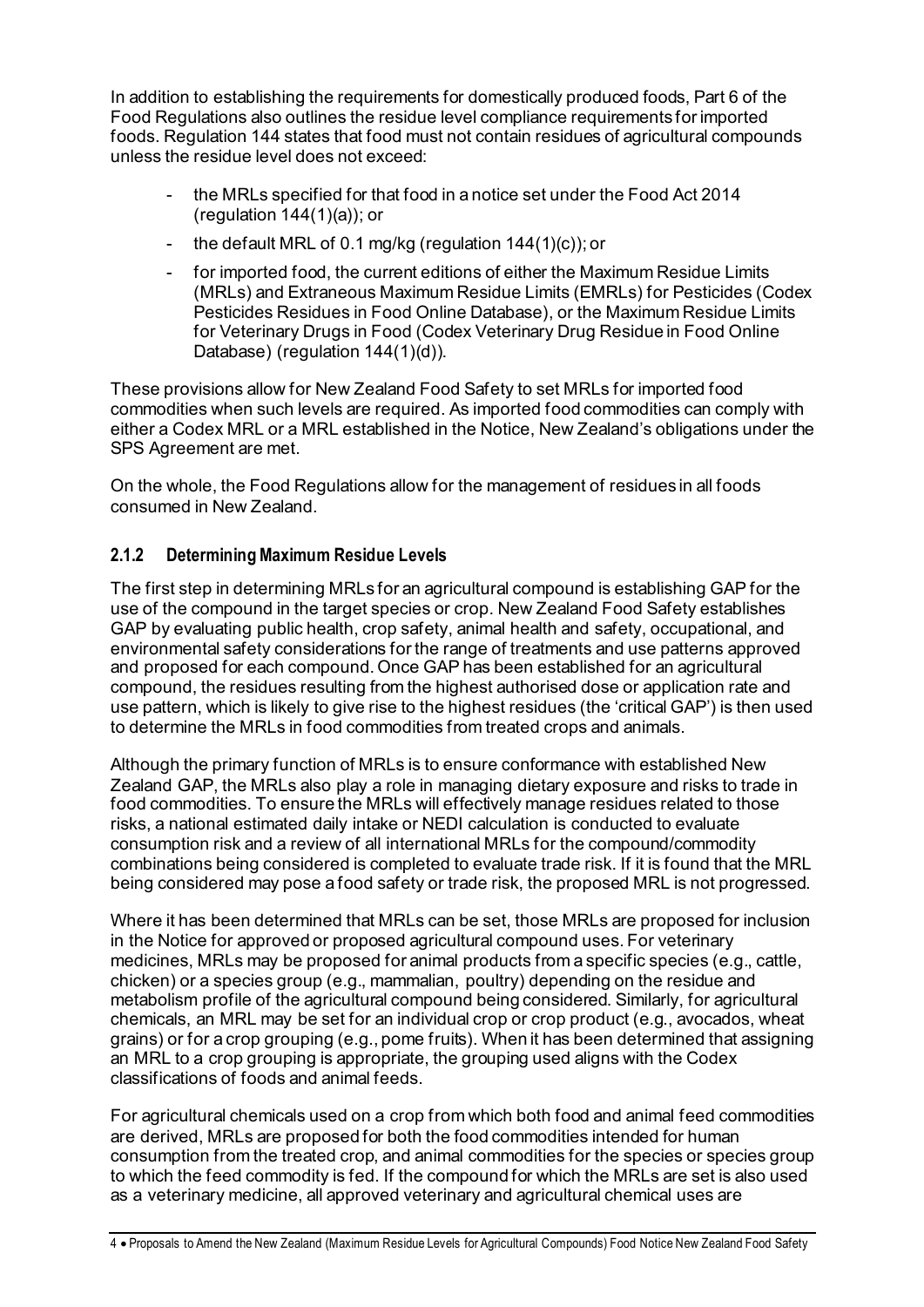In addition to establishing the requirements for domestically produced foods, Part 6 of the Food Regulations also outlines the residue level compliance requirements for imported foods. Regulation 144 states that food must not contain residues of agricultural compounds unless the residue level does not exceed:

- the MRLs specified for that food in a notice set under the Food Act 2014 (regulation 144(1)(a)); or
- the default MRL of 0.1 mg/kg (regulation  $144(1)(c)$ ); or
- for imported food, the current editions of either the Maximum Residue Limits (MRLs) and Extraneous Maximum Residue Limits (EMRLs) for Pesticides (Codex Pesticides Residues in Food Online Database), or the Maximum Residue Limits for Veterinary Drugs in Food (Codex Veterinary Drug Residue in Food Online Database) (regulation 144(1)(d)).

These provisions allow for New Zealand Food Safety to set MRLs for imported food commodities when such levels are required. As imported food commodities can comply with either a Codex MRL or a MRL established in the Notice, New Zealand's obligations under the SPS Agreement are met.

On the whole, the Food Regulations allow for the management of residues in all foods consumed in New Zealand.

### **2.1.2 Determining Maximum Residue Levels**

The first step in determining MRLs for an agricultural compound is establishing GAP for the use of the compound in the target species or crop. New Zealand Food Safety establishes GAP by evaluating public health, crop safety, animal health and safety, occupational, and environmental safety considerations for the range of treatments and use patterns approved and proposed for each compound. Once GAP has been established for an agricultural compound, the residues resulting from the highest authorised dose or application rate and use pattern, which is likely to give rise to the highest residues (the 'critical GAP') is then used to determine the MRLs in food commodities from treated crops and animals.

Although the primary function of MRLs is to ensure conformance with established New Zealand GAP, the MRLs also play a role in managing dietary exposure and risks to trade in food commodities. To ensure the MRLs will effectively manage residues related to those risks, a national estimated daily intake or NEDI calculation is conducted to evaluate consumption risk and a review of all international MRLs for the compound/commodity combinations being considered is completed to evaluate trade risk. If it is found that the MRL being considered may pose a food safety or trade risk, the proposed MRL is not progressed.

Where it has been determined that MRLs can be set, those MRLs are proposed for inclusion in the Notice for approved or proposed agricultural compound uses. For veterinary medicines, MRLs may be proposed for animal products from a specific species (e.g., cattle, chicken) or a species group (e.g., mammalian, poultry) depending on the residue and metabolism profile of the agricultural compound being considered. Similarly, for agricultural chemicals, an MRL may be set for an individual crop or crop product (e.g., avocados, wheat grains) or for a crop grouping (e.g., pome fruits). When it has been determined that assigning an MRL to a crop grouping is appropriate, the grouping used aligns with the Codex classifications of foods and animal feeds.

For agricultural chemicals used on a crop from which both food and animal feed commodities are derived, MRLs are proposed for both the food commodities intended for human consumption from the treated crop, and animal commodities for the species or species group to which the feed commodity is fed. If the compound for which the MRLs are set is also used as a veterinary medicine, all approved veterinary and agricultural chemical uses are

4 • Proposals to Amend the New Zealand (Maximum Residue Levels for Agricultural Compounds) Food Notice New Zealand Food Safety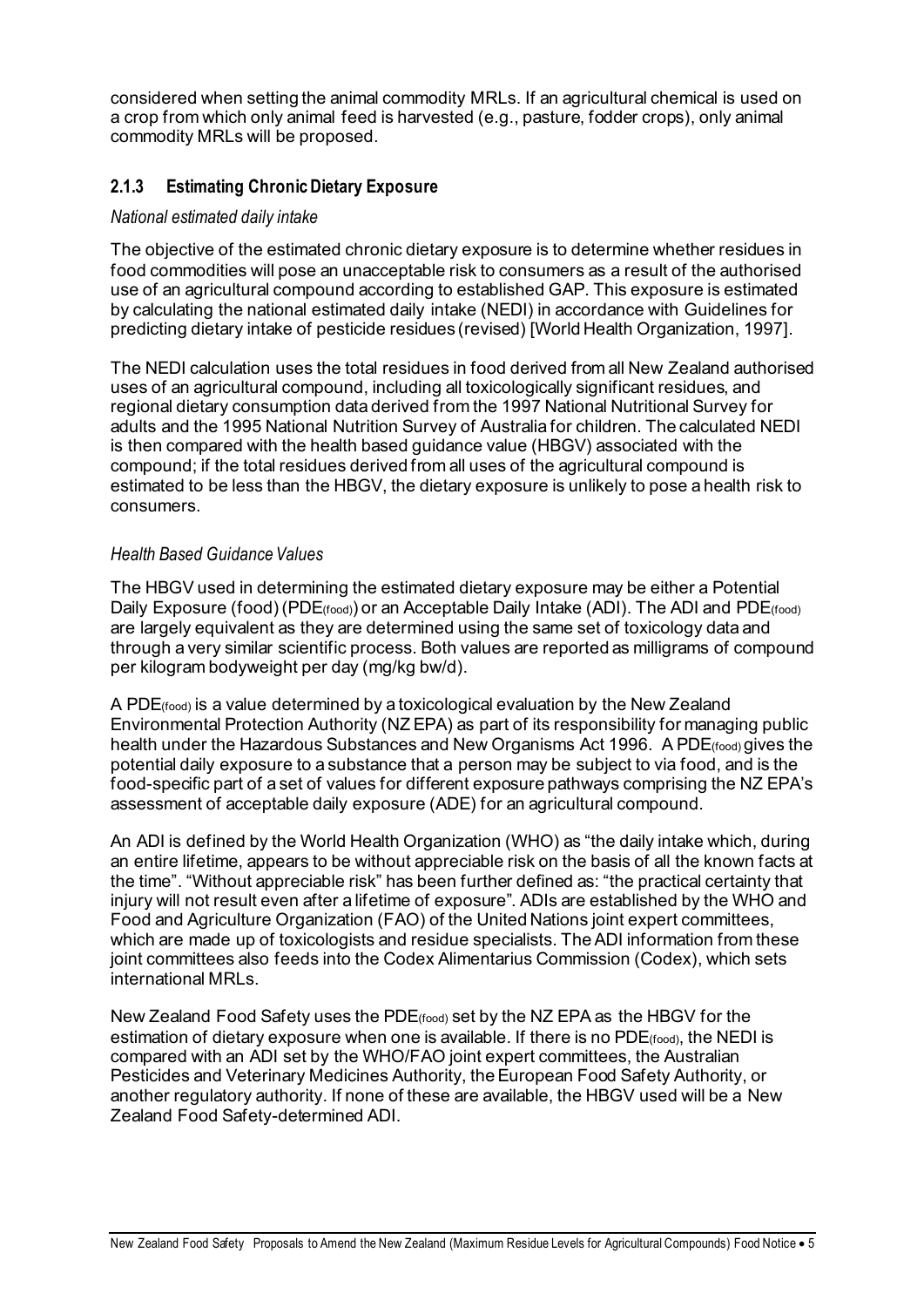considered when setting the animal commodity MRLs. If an agricultural chemical is used on a crop from which only animal feed is harvested (e.g., pasture, fodder crops), only animal commodity MRLs will be proposed.

### **2.1.3 Estimating Chronic Dietary Exposure**

#### *National estimated daily intake*

The objective of the estimated chronic dietary exposure is to determine whether residues in food commodities will pose an unacceptable risk to consumers as a result of the authorised use of an agricultural compound according to established GAP. This exposure is estimated by calculating the national estimated daily intake (NEDI) in accordance with Guidelines for predicting dietary intake of pesticide residues (revised) [World Health Organization, 1997].

The NEDI calculation uses the total residues in food derived from all New Zealand authorised uses of an agricultural compound, including all toxicologically significant residues, and regional dietary consumption data derived from the 1997 National Nutritional Survey for adults and the 1995 National Nutrition Survey of Australia for children. The calculated NEDI is then compared with the health based guidance value (HBGV) associated with the compound; if the total residues derived from all uses of the agricultural compound is estimated to be less than the HBGV, the dietary exposure is unlikely to pose a health risk to consumers.

#### *Health Based Guidance Values*

The HBGV used in determining the estimated dietary exposure may be either a Potential Daily Exposure (food) (PDE(food)) or an Acceptable Daily Intake (ADI). The ADI and PDE(food) are largely equivalent as they are determined using the same set of toxicology data and through a very similar scientific process. Both values are reported as milligrams of compound per kilogram bodyweight per day (mg/kg bw/d).

A PDE(food) is a value determined by a toxicological evaluation by the New Zealand Environmental Protection Authority (NZ EPA) as part of its responsibility for managing public health under the Hazardous Substances and New Organisms Act 1996. A PDE (food) gives the potential daily exposure to a substance that a person may be subject to via food, and is the food-specific part of a set of values for different exposure pathways comprising the NZ EPA's assessment of acceptable daily exposure (ADE) for an agricultural compound.

An ADI is defined by the World Health Organization (WHO) as "the daily intake which, during an entire lifetime, appears to be without appreciable risk on the basis of all the known facts at the time". "Without appreciable risk" has been further defined as: "the practical certainty that injury will not result even after a lifetime of exposure". ADIs are established by the WHO and Food and Agriculture Organization (FAO) of the United Nations joint expert committees, which are made up of toxicologists and residue specialists. The ADI information from these joint committees also feeds into the Codex Alimentarius Commission (Codex), which sets international MRLs.

New Zealand Food Safety uses the PDE(food) set by the NZ EPA as the HBGV for the estimation of dietary exposure when one is available. If there is no PDE(food), the NEDI is compared with an ADI set by the WHO/FAO joint expert committees, the Australian Pesticides and Veterinary Medicines Authority, the European Food Safety Authority, or another regulatory authority. If none of these are available, the HBGV used will be a New Zealand Food Safety-determined ADI.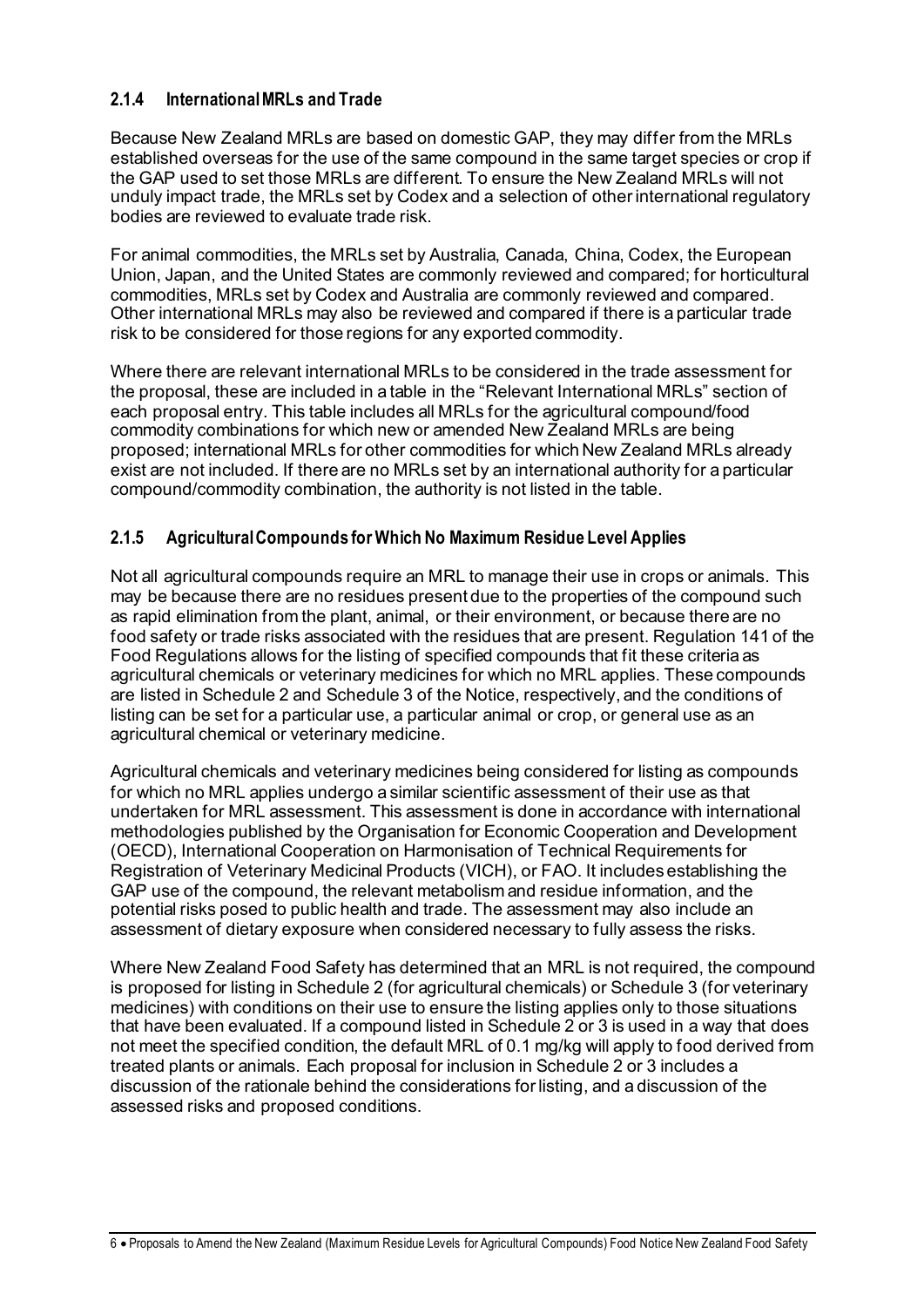### **2.1.4 International MRLs and Trade**

Because New Zealand MRLs are based on domestic GAP, they may differ from the MRLs established overseas for the use of the same compound in the same target species or crop if the GAP used to set those MRLs are different. To ensure the New Zealand MRLs will not unduly impact trade, the MRLs set by Codex and a selection of other international regulatory bodies are reviewed to evaluate trade risk.

For animal commodities, the MRLs set by Australia, Canada, China, Codex, the European Union, Japan, and the United States are commonly reviewed and compared; for horticultural commodities, MRLs set by Codex and Australia are commonly reviewed and compared. Other international MRLs may also be reviewed and compared if there is a particular trade risk to be considered for those regions for any exported commodity.

Where there are relevant international MRLs to be considered in the trade assessment for the proposal, these are included in a table in the "Relevant International MRLs" section of each proposal entry. This table includes all MRLs for the agricultural compound/food commodity combinations for which new or amended New Zealand MRLs are being proposed; international MRLs for other commodities for which New Zealand MRLs already exist are not included. If there are no MRLs set by an international authority for a particular compound/commodity combination, the authority is not listed in the table.

#### **2.1.5 Agricultural Compounds for Which No Maximum Residue Level Applies**

Not all agricultural compounds require an MRL to manage their use in crops or animals. This may be because there are no residues present due to the properties of the compound such as rapid elimination from the plant, animal, or their environment, or because there are no food safety or trade risks associated with the residues that are present. Regulation 141 of the Food Regulations allows for the listing of specified compounds that fit these criteria as agricultural chemicals or veterinary medicines for which no MRL applies. These compounds are listed in Schedule 2 and Schedule 3 of the Notice, respectively, and the conditions of listing can be set for a particular use, a particular animal or crop, or general use as an agricultural chemical or veterinary medicine.

Agricultural chemicals and veterinary medicines being considered for listing as compounds for which no MRL applies undergo a similar scientific assessment of their use as that undertaken for MRL assessment. This assessment is done in accordance with international methodologies published by the Organisation for Economic Cooperation and Development (OECD), International Cooperation on Harmonisation of Technical Requirements for Registration of Veterinary Medicinal Products (VICH), or FAO. It includes establishing the GAP use of the compound, the relevant metabolism and residue information, and the potential risks posed to public health and trade. The assessment may also include an assessment of dietary exposure when considered necessary to fully assess the risks.

Where New Zealand Food Safety has determined that an MRL is not required, the compound is proposed for listing in Schedule 2 (for agricultural chemicals) or Schedule 3 (for veterinary medicines) with conditions on their use to ensure the listing applies only to those situations that have been evaluated. If a compound listed in Schedule 2 or 3 is used in a way that does not meet the specified condition, the default MRL of 0.1 mg/kg will apply to food derived from treated plants or animals. Each proposal for inclusion in Schedule 2 or 3 includes a discussion of the rationale behind the considerations for listing, and a discussion of the assessed risks and proposed conditions.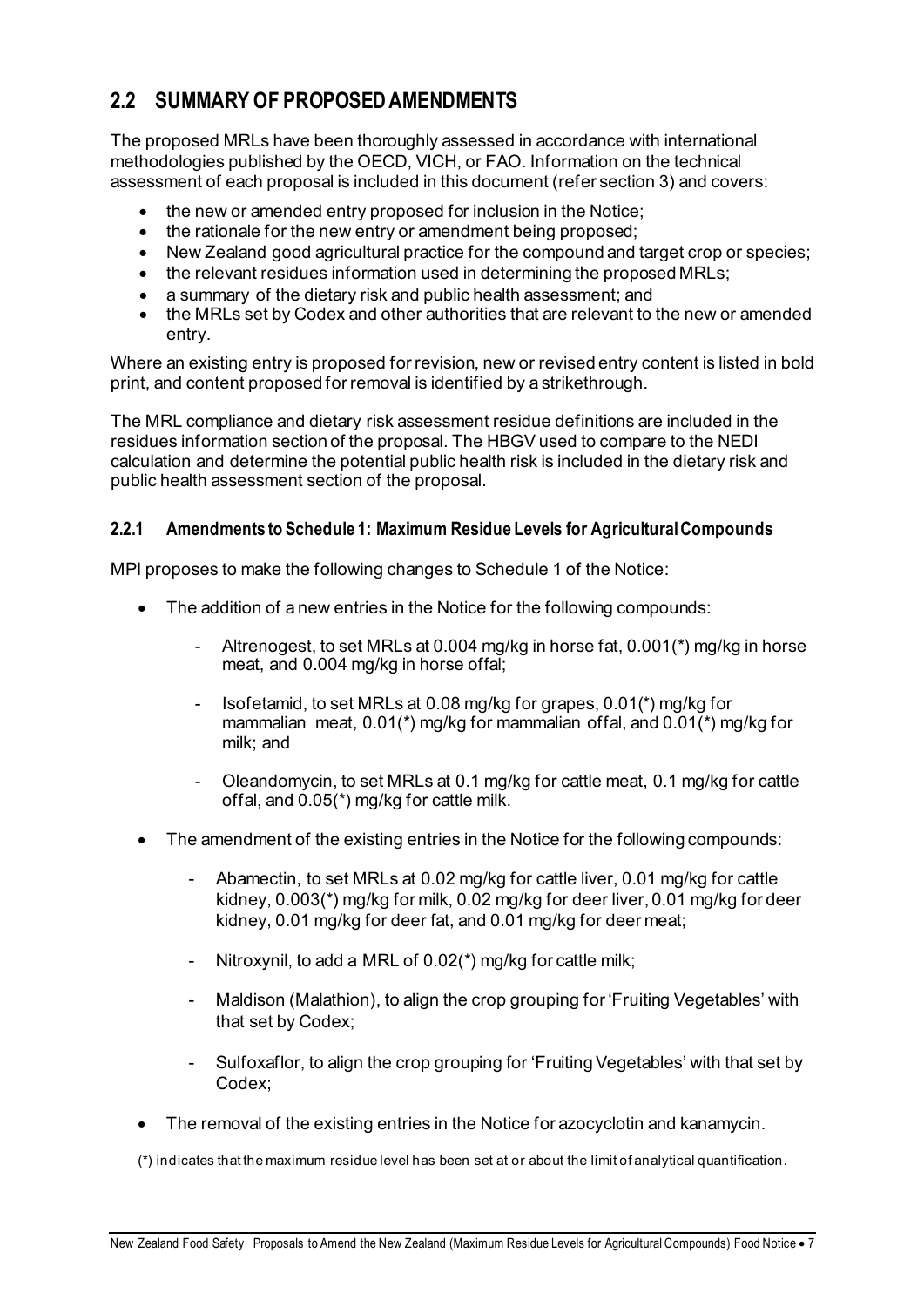### **2.2 SUMMARY OF PROPOSED AMENDMENTS**

The proposed MRLs have been thoroughly assessed in accordance with international methodologies published by the OECD, VICH, or FAO. Information on the technical assessment of each proposal is included in this document (refer section 3) and covers:

- the new or amended entry proposed for inclusion in the Notice;
- the rationale for the new entry or amendment being proposed;
- New Zealand good agricultural practice for the compound and target crop or species;
- the relevant residues information used in determining the proposed MRLs;
- a summary of the dietary risk and public health assessment; and
- the MRLs set by Codex and other authorities that are relevant to the new or amended entry.

Where an existing entry is proposed for revision, new or revised entry content is listed in bold print, and content proposed for removal is identified by a strikethrough.

The MRL compliance and dietary risk assessment residue definitions are included in the residues information section of the proposal. The HBGV used to compare to the NEDI calculation and determine the potential public health risk is included in the dietary risk and public health assessment section of the proposal.

#### **2.2.1 Amendments to Schedule 1: Maximum Residue Levels for Agricultural Compounds**

MPI proposes to make the following changes to Schedule 1 of the Notice:

- The addition of a new entries in the Notice for the following compounds:
	- Altrenogest, to set MRLs at 0.004 mg/kg in horse fat,  $0.001$ <sup>\*</sup>) mg/kg in horse meat, and 0.004 mg/kg in horse offal;
	- Isofetamid, to set MRLs at 0.08 mg/kg for grapes, 0.01(\*) mg/kg for mammalian meat, 0.01(\*) mg/kg for mammalian offal, and 0.01(\*) mg/kg for milk; and
	- Oleandomycin, to set MRLs at 0.1 mg/kg for cattle meat, 0.1 mg/kg for cattle offal, and 0.05(\*) mg/kg for cattle milk.
- The amendment of the existing entries in the Notice for the following compounds:
	- Abamectin, to set MRLs at 0.02 mg/kg for cattle liver, 0.01 mg/kg for cattle kidney, 0.003(\*) mg/kg for milk, 0.02 mg/kg for deer liver, 0.01 mg/kg for deer kidney, 0.01 mg/kg for deer fat, and 0.01 mg/kg for deer meat;
	- Nitroxynil, to add a MRL of 0.02(\*) mg/kg for cattle milk;
	- Maldison (Malathion), to align the crop grouping for 'Fruiting Vegetables' with that set by Codex;
	- Sulfoxaflor, to align the crop grouping for 'Fruiting Vegetables' with that set by Codex;
- The removal of the existing entries in the Notice for azocyclotin and kanamycin.

(\*) indicates that the maximum residue level has been set at or about the limit of analytical quantification.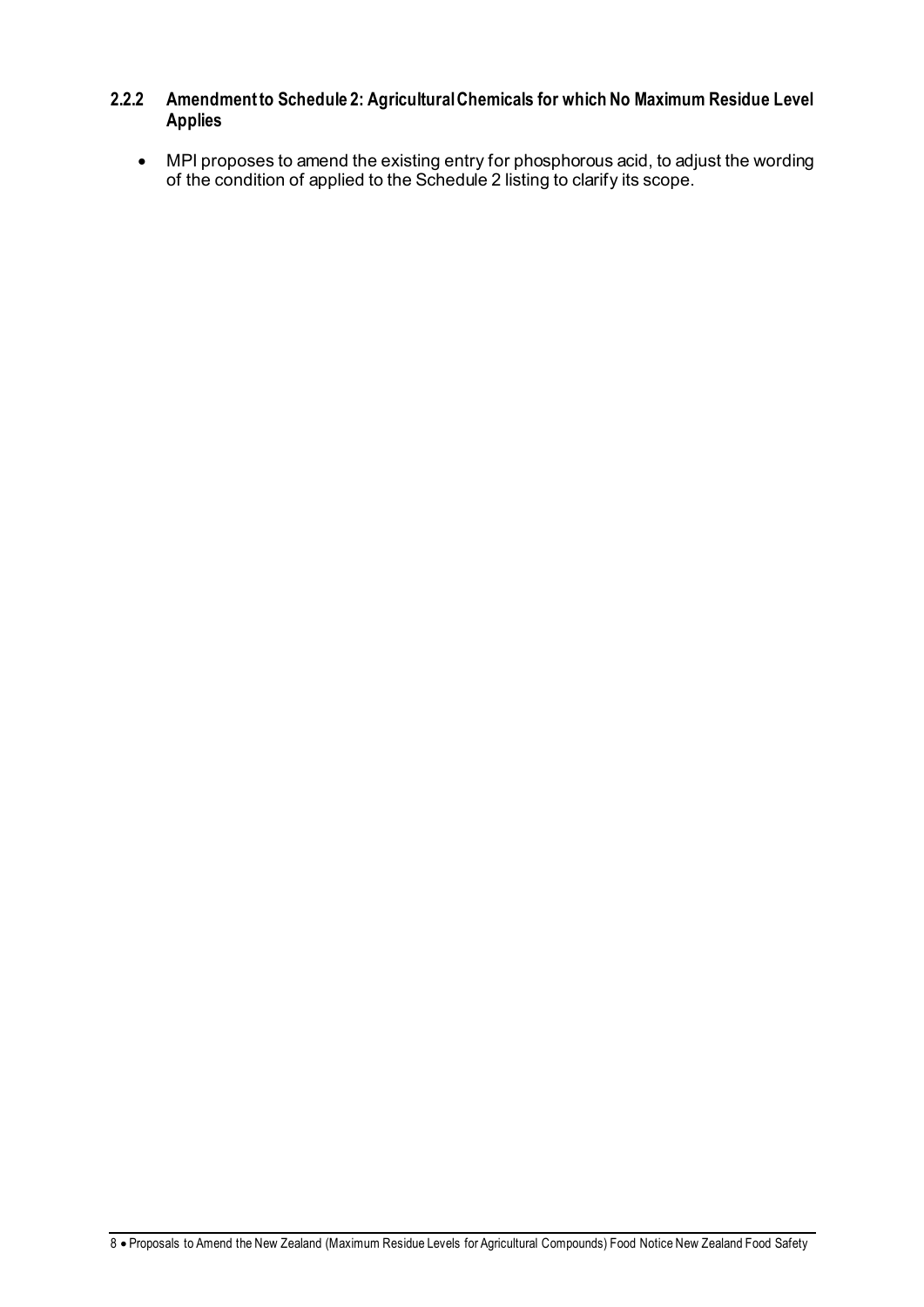### **2.2.2 Amendment to Schedule 2: Agricultural Chemicals for which No Maximum Residue Level Applies**

• MPI proposes to amend the existing entry for phosphorous acid, to adjust the wording of the condition of applied to the Schedule 2 listing to clarify its scope.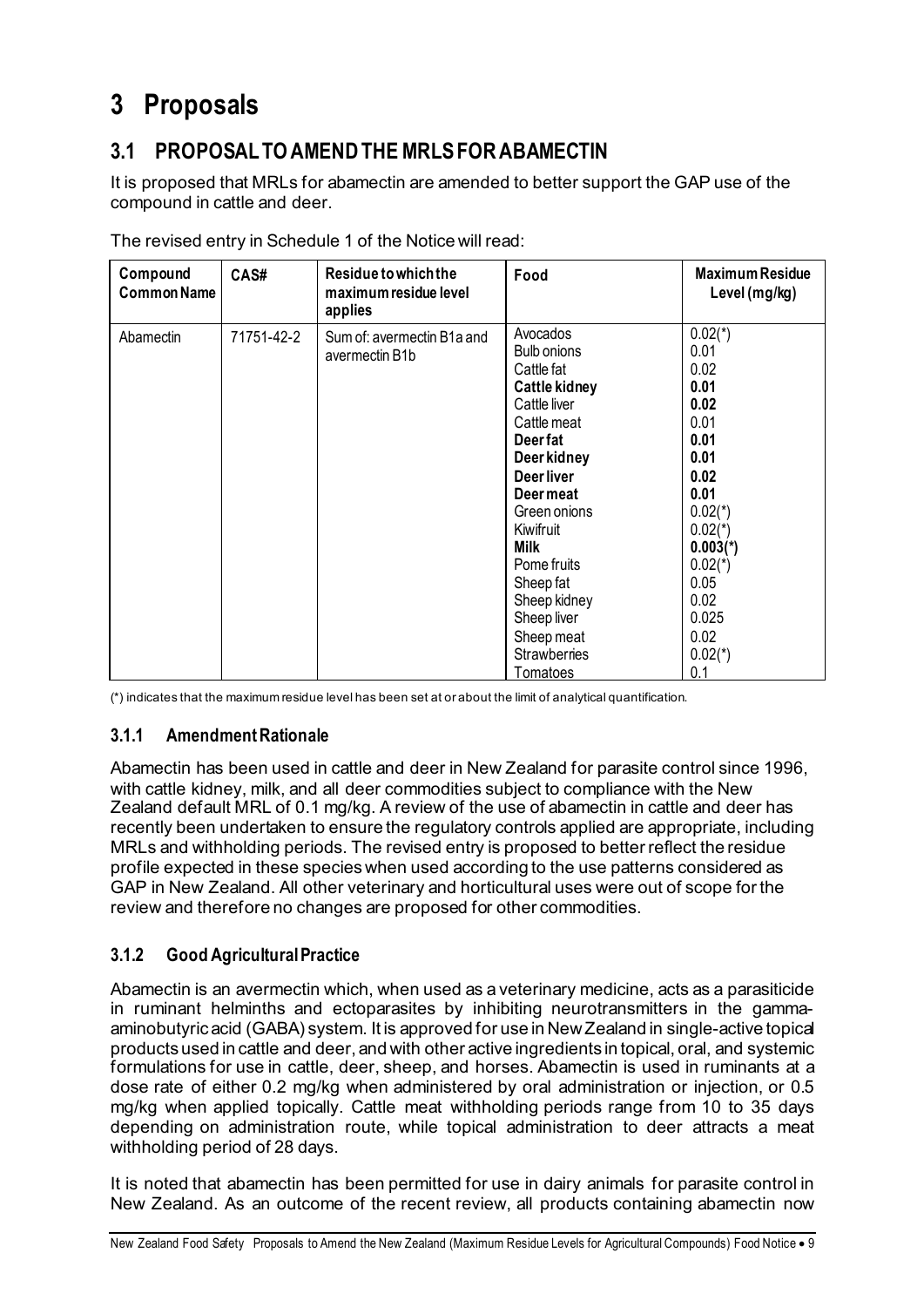## **3 Proposals**

### **3.1 PROPOSAL TO AMEND THE MRLS FOR ABAMECTIN**

It is proposed that MRLs for abamectin are amended to better support the GAP use of the compound in cattle and deer.

| Compound<br><b>Common Name</b> | CAS#       | Residue to which the<br>maximum residue level<br>applies | Food                                                                                                                                                                                                                                                                                         | <b>Maximum Residue</b><br>Level (mg/kg)                                                                                                                                                     |
|--------------------------------|------------|----------------------------------------------------------|----------------------------------------------------------------------------------------------------------------------------------------------------------------------------------------------------------------------------------------------------------------------------------------------|---------------------------------------------------------------------------------------------------------------------------------------------------------------------------------------------|
| Abamectin                      | 71751-42-2 | Sum of: avermectin B1a and<br>avermectin B1b             | Avocados<br>Bulb onions<br>Cattle fat<br>Cattle kidney<br>Cattle liver<br>Cattle meat<br>Deer fat<br>Deer kidney<br>Deer liver<br>Deer meat<br>Green onions<br>Kiwifruit<br>Milk<br>Pome fruits<br>Sheep fat<br>Sheep kidney<br>Sheep liver<br>Sheep meat<br><b>Strawberries</b><br>Tomatoes | $0.02(*)$<br>0.01<br>0.02<br>0.01<br>0.02<br>0.01<br>0.01<br>0.01<br>0.02<br>0.01<br>$0.02(*)$<br>$0.02(*)$<br>$0.003(*)$<br>$0.02(*)$<br>0.05<br>0.02<br>0.025<br>0.02<br>$0.02(*)$<br>0.1 |

The revised entry in Schedule 1 of the Notice will read:

(\*) indicates that the maximum residue level has been set at or about the limit of analytical quantification.

#### **3.1.1 Amendment Rationale**

Abamectin has been used in cattle and deer in New Zealand for parasite control since 1996, with cattle kidney, milk, and all deer commodities subject to compliance with the New Zealand default MRL of 0.1 mg/kg. A review of the use of abamectin in cattle and deer has recently been undertaken to ensure the regulatory controls applied are appropriate, including MRLs and withholding periods. The revised entry is proposed to better reflect the residue profile expected in these species when used according to the use patterns considered as GAP in New Zealand. All other veterinary and horticultural uses were out of scope for the review and therefore no changes are proposed for other commodities.

### **3.1.2 Good Agricultural Practice**

Abamectin is an avermectin which, when used as a veterinary medicine, acts as a parasiticide in ruminant helminths and ectoparasites by inhibiting neurotransmitters in the gammaaminobutyric acid (GABA) system. It is approved for use in New Zealand in single-active topical products used in cattle and deer, and with other active ingredients in topical, oral, and systemic formulations for use in cattle, deer, sheep, and horses. Abamectin is used in ruminants at a dose rate of either 0.2 mg/kg when administered by oral administration or injection, or 0.5 mg/kg when applied topically. Cattle meat withholding periods range from 10 to 35 days depending on administration route, while topical administration to deer attracts a meat withholding period of 28 days.

It is noted that abamectin has been permitted for use in dairy animals for parasite control in New Zealand. As an outcome of the recent review, all products containing abamectin now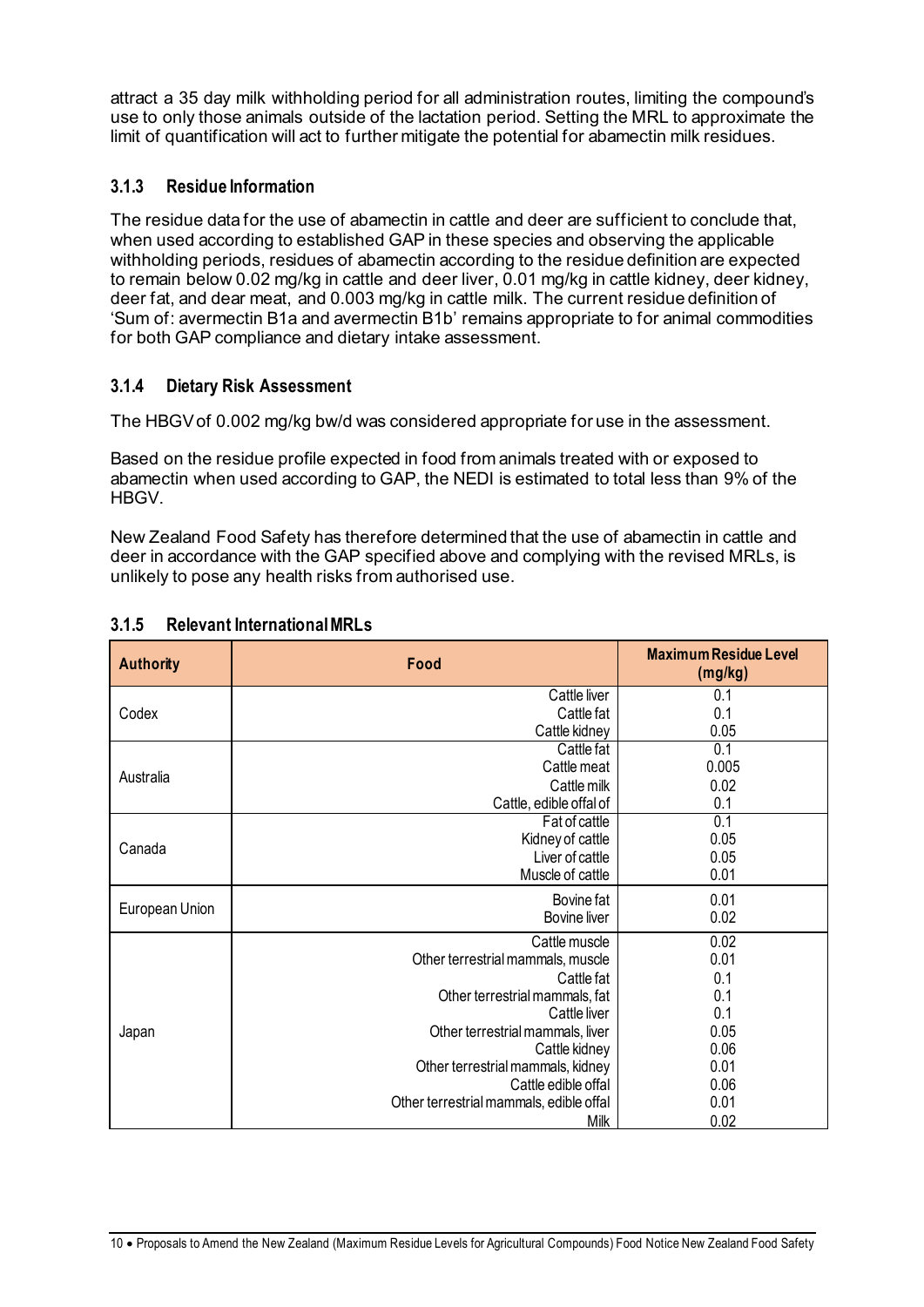attract a 35 day milk withholding period for all administration routes, limiting the compound's use to only those animals outside of the lactation period. Setting the MRL to approximate the limit of quantification will act to further mitigate the potential for abamectin milk residues.

### **3.1.3 Residue Information**

The residue data for the use of abamectin in cattle and deer are sufficient to conclude that, when used according to established GAP in these species and observing the applicable withholding periods, residues of abamectin according to the residue definition are expected to remain below 0.02 mg/kg in cattle and deer liver, 0.01 mg/kg in cattle kidney, deer kidney, deer fat, and dear meat, and 0.003 mg/kg in cattle milk. The current residue definition of 'Sum of: avermectin B1a and avermectin B1b' remains appropriate to for animal commodities for both GAP compliance and dietary intake assessment.

### **3.1.4 Dietary Risk Assessment**

The HBGVof 0.002 mg/kg bw/d was considered appropriate for use in the assessment.

Based on the residue profile expected in food from animals treated with or exposed to abamectin when used according to GAP, the NEDI is estimated to total less than 9% of the **HBGV** 

New Zealand Food Safety has therefore determined that the use of abamectin in cattle and deer in accordance with the GAP specified above and complying with the revised MRLs, is unlikely to pose any health risks from authorised use.

| <b>Authority</b> | Food                                    | <b>Maximum Residue Level</b><br>(mg/kg) |
|------------------|-----------------------------------------|-----------------------------------------|
|                  | Cattle liver                            | 0.1                                     |
| Codex            | Cattle fat                              | 0.1                                     |
|                  | Cattle kidney                           | 0.05                                    |
|                  | Cattle fat                              | 0.1                                     |
| Australia        | Cattle meat                             | 0.005                                   |
|                  | Cattle milk                             | 0.02                                    |
|                  | Cattle, edible offal of                 | 0.1                                     |
|                  | Fat of cattle                           | 0.1                                     |
| Canada           | Kidney of cattle                        | 0.05                                    |
|                  | Liver of cattle                         | 0.05                                    |
|                  | Muscle of cattle                        | 0.01                                    |
|                  | Bovine fat                              | 0.01                                    |
| European Union   | <b>Bovine liver</b>                     | 0.02                                    |
|                  | Cattle muscle                           | 0.02                                    |
|                  | Other terrestrial mammals, muscle       | 0.01                                    |
|                  | Cattle fat                              | 0.1                                     |
|                  | Other terrestrial mammals, fat          | 0.1                                     |
|                  | Cattle liver                            | 0.1                                     |
| Japan            | Other terrestrial mammals, liver        | 0.05                                    |
|                  | Cattle kidney                           | 0.06                                    |
|                  | Other terrestrial mammals, kidney       | 0.01                                    |
|                  | Cattle edible offal                     | 0.06                                    |
|                  | Other terrestrial mammals, edible offal | 0.01                                    |
|                  | <b>Milk</b>                             | 0.02                                    |

#### **3.1.5 Relevant International MRLs**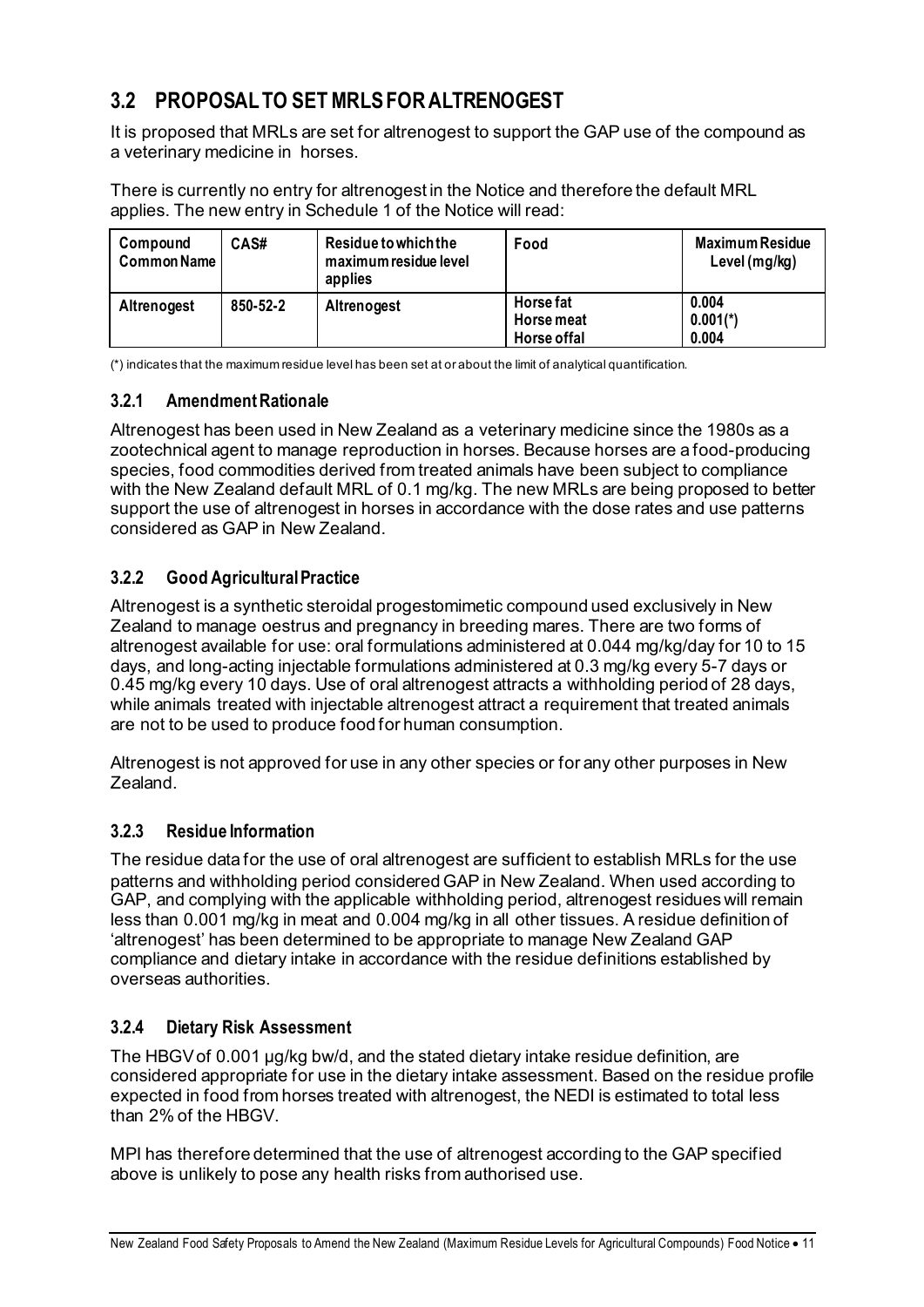### **3.2 PROPOSAL TO SET MRLS FOR ALTRENOGEST**

It is proposed that MRLs are set for altrenogest to support the GAP use of the compound as a veterinary medicine in horses.

There is currently no entry for altrenogest in the Notice and therefore the default MRL applies. The new entry in Schedule 1 of the Notice will read:

| Compound<br><b>Common Name</b> | CAS#     | Residue to which the<br>maximum residue level<br>applies | Food                                   | <b>Maximum Residue</b><br>Level (mg/kg) |
|--------------------------------|----------|----------------------------------------------------------|----------------------------------------|-----------------------------------------|
| Altrenogest                    | 850-52-2 | Altrenogest                                              | Horse fat<br>Horse meat<br>Horse offal | 0.004<br>$0.001(*)$<br>0.004            |

(\*) indicates that the maximum residue level has been set at or about the limit of analytical quantification.

### **3.2.1 Amendment Rationale**

Altrenogest has been used in New Zealand as a veterinary medicine since the 1980s as a zootechnical agent to manage reproduction in horses. Because horses are a food-producing species, food commodities derived from treated animals have been subject to compliance with the New Zealand default MRL of 0.1 mg/kg. The new MRLs are being proposed to better support the use of altrenogest in horses in accordance with the dose rates and use patterns considered as GAP in New Zealand.

### **3.2.2 Good Agricultural Practice**

Altrenogest is a synthetic steroidal progestomimetic compound used exclusively in New Zealand to manage oestrus and pregnancy in breeding mares. There are two forms of altrenogest available for use: oral formulations administered at 0.044 mg/kg/day for 10 to 15 days, and long-acting injectable formulations administered at 0.3 mg/kg every 5-7 days or 0.45 mg/kg every 10 days. Use of oral altrenogest attracts a withholding period of 28 days, while animals treated with injectable altrenogest attract a requirement that treated animals are not to be used to produce food for human consumption.

Altrenogest is not approved for use in any other species or for any other purposes in New Zealand.

### **3.2.3 Residue Information**

The residue data for the use of oral altrenogest are sufficient to establish MRLs for the use patterns and withholding period considered GAP in New Zealand. When used according to GAP, and complying with the applicable withholding period, altrenogest residues will remain less than 0.001 mg/kg in meat and 0.004 mg/kg in all other tissues. A residue definition of 'altrenogest' has been determined to be appropriate to manage New Zealand GAP compliance and dietary intake in accordance with the residue definitions established by overseas authorities.

### **3.2.4 Dietary Risk Assessment**

The HBGV of 0.001 µg/kg bw/d, and the stated dietary intake residue definition, are considered appropriate for use in the dietary intake assessment. Based on the residue profile expected in food from horses treated with altrenogest, the NEDI is estimated to total less than 2% of the HBGV.

MPI has therefore determined that the use of altrenogest according to the GAP specified above is unlikely to pose any health risks from authorised use.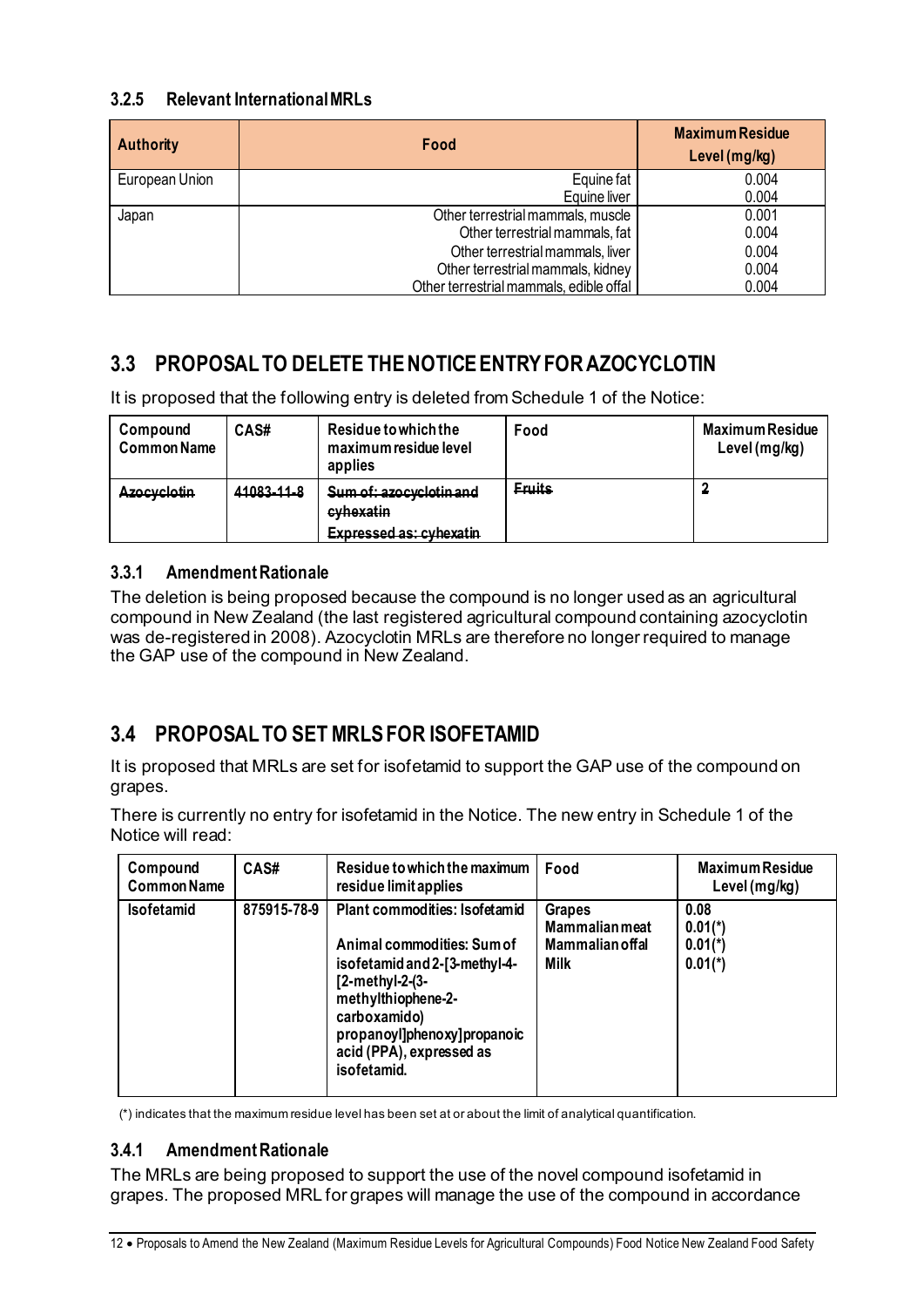### **3.2.5 Relevant International MRLs**

| <b>Authority</b> | Food                                    | <b>Maximum Residue</b><br>Level (mg/kg) |
|------------------|-----------------------------------------|-----------------------------------------|
| European Union   | Equine fat                              | 0.004                                   |
|                  | Equine liver                            | 0.004                                   |
| Japan            | Other terrestrial mammals, muscle       |                                         |
|                  | Other terrestrial mammals, fat          |                                         |
|                  | Other terrestrial mammals, liver        | 0.004                                   |
|                  | Other terrestrial mammals, kidney       | 0.004                                   |
|                  | Other terrestrial mammals, edible offal | 0.004                                   |

### **3.3 PROPOSAL TO DELETE THE NOTICE ENTRY FOR AZOCYCLOTIN**

It is proposed that the following entry is deleted from Schedule 1 of the Notice:

| Compound<br><b>Common Name</b> | CAS#       | Residue to which the<br>maximum residue level<br>applies        | Food          | <b>Maximum Residue</b><br>Level (mg/kg) |
|--------------------------------|------------|-----------------------------------------------------------------|---------------|-----------------------------------------|
| <b>Azocyclotin</b>             | 41083-11-8 | Sum of: azocyclotin and<br>cyhexatin<br>Expressed as: cyhavatin | <b>Eruits</b> |                                         |

### **3.3.1 Amendment Rationale**

The deletion is being proposed because the compound is no longer used as an agricultural compound in New Zealand (the last registered agricultural compound containing azocyclotin was de-registered in 2008). Azocyclotin MRLs are therefore no longer required to manage the GAP use of the compound in New Zealand.

### **3.4 PROPOSAL TO SET MRLS FOR ISOFETAMID**

It is proposed that MRLs are set for isofetamid to support the GAP use of the compound on grapes.

There is currently no entry for isofetamid in the Notice. The new entry in Schedule 1 of the Notice will read:

| Compound<br><b>Common Name</b> | CAS#        | Residue to which the maximum<br>residue limit applies                                                                                                                                                                             | Food                                                                     | <b>Maximum Residue</b><br>Level (mg/kg)                 |
|--------------------------------|-------------|-----------------------------------------------------------------------------------------------------------------------------------------------------------------------------------------------------------------------------------|--------------------------------------------------------------------------|---------------------------------------------------------|
| <b>Isofetamid</b>              | 875915-78-9 | Plant commodities: Isofetamid<br>Animal commodities: Sum of<br>isofetamid and 2-[3-methyl-4-<br>$[2-methyl-2-(3-$<br>methylthiophene-2-<br>carboxamido)<br>propanoyl]phenoxy]propanoic<br>acid (PPA), expressed as<br>isofetamid. | <b>Grapes</b><br><b>Mammalian meat</b><br><b>Mammalian offal</b><br>Milk | 0.08<br>$0.01(*)$<br>$0.01(*)$<br>$0.01$ <sup>*</sup> ) |

(\*) indicates that the maximum residue level has been set at or about the limit of analytical quantification.

### **3.4.1 Amendment Rationale**

The MRLs are being proposed to support the use of the novel compound isofetamid in grapes. The proposed MRL for grapes will manage the use of the compound in accordance

<sup>12</sup> • Proposals to Amend the New Zealand (Maximum Residue Levels for Agricultural Compounds) Food Notice New Zealand Food Safety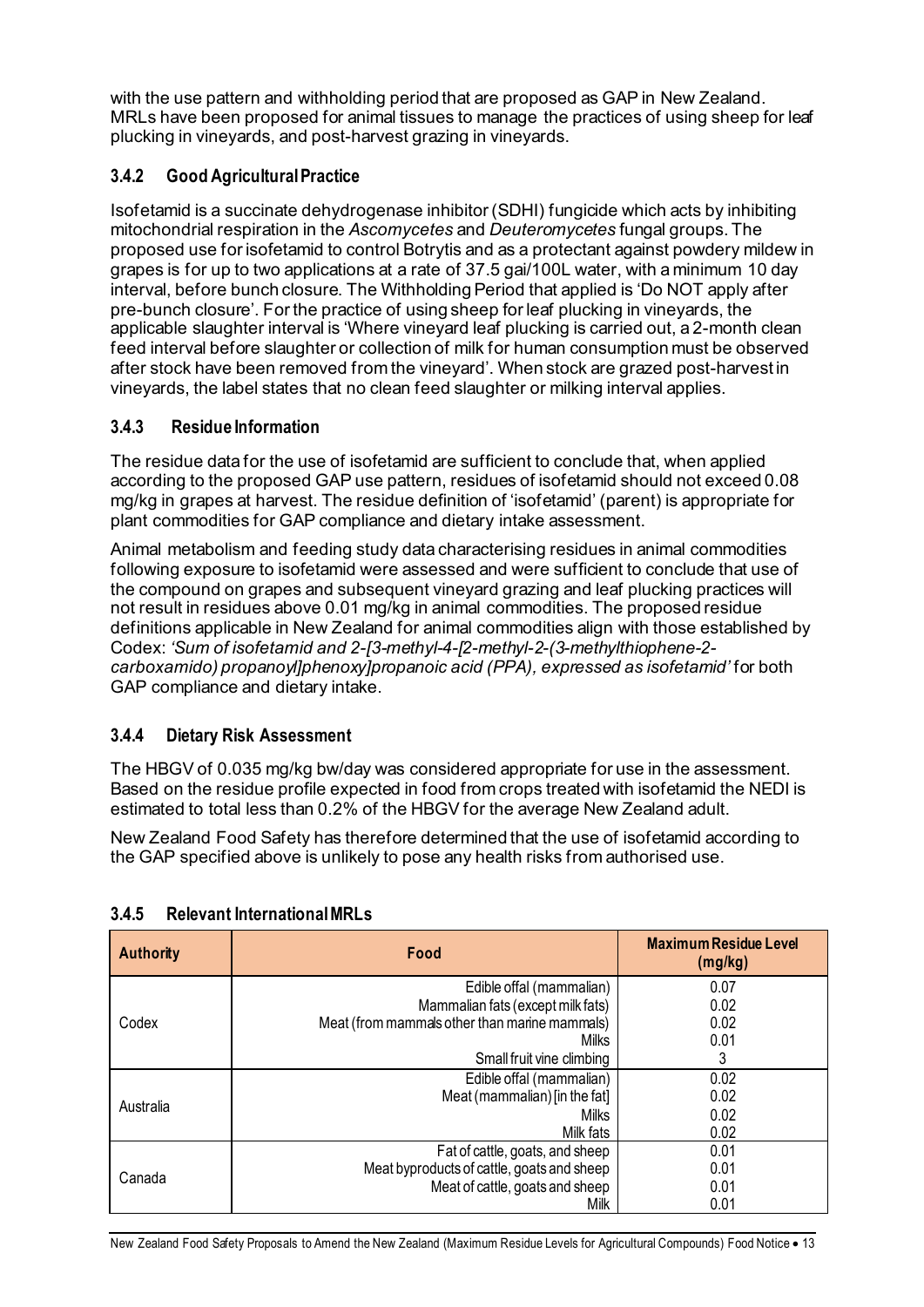with the use pattern and withholding period that are proposed as GAP in New Zealand. MRLs have been proposed for animal tissues to manage the practices of using sheep for leaf plucking in vineyards, and post-harvest grazing in vineyards.

### **3.4.2 Good Agricultural Practice**

Isofetamid is a succinate dehydrogenase inhibitor (SDHI) fungicide which acts by inhibiting mitochondrial respiration in the *Ascomycetes* and *Deuteromycetes* fungal groups. The proposed use for isofetamid to control Botrytis and as a protectant against powdery mildew in grapes is for up to two applications at a rate of 37.5 gai/100L water, with a minimum 10 day interval, before bunch closure. The Withholding Period that applied is 'Do NOT apply after pre-bunch closure'. For the practice of using sheep for leaf plucking in vineyards, the applicable slaughter interval is 'Where vineyard leaf plucking is carried out, a 2-month clean feed interval before slaughter or collection of milk for human consumption must be observed after stock have been removed from the vineyard'. When stock are grazed post-harvest in vineyards, the label states that no clean feed slaughter or milking interval applies.

### **3.4.3 Residue Information**

The residue data for the use of isofetamid are sufficient to conclude that, when applied according to the proposed GAP use pattern, residues of isofetamid should not exceed 0.08 mg/kg in grapes at harvest. The residue definition of 'isofetamid' (parent) is appropriate for plant commodities for GAP compliance and dietary intake assessment.

Animal metabolism and feeding study data characterising residues in animal commodities following exposure to isofetamid were assessed and were sufficient to conclude that use of the compound on grapes and subsequent vineyard grazing and leaf plucking practices will not result in residues above 0.01 mg/kg in animal commodities. The proposed residue definitions applicable in New Zealand for animal commodities align with those established by Codex: *'Sum of isofetamid and 2-[3-methyl-4-[2-methyl-2-(3-methylthiophene-2 carboxamido) propanoyl]phenoxy]propanoic acid (PPA), expressed as isofetamid'* for both GAP compliance and dietary intake.

### **3.4.4 Dietary Risk Assessment**

The HBGV of 0.035 mg/kg bw/day was considered appropriate for use in the assessment. Based on the residue profile expected in food from crops treated with isofetamid the NEDI is estimated to total less than 0.2% of the HBGV for the average New Zealand adult.

New Zealand Food Safety has therefore determined that the use of isofetamid according to the GAP specified above is unlikely to pose any health risks from authorised use.

| <b>Authority</b> | Food                                          | <b>Maximum Residue Level</b><br>(mg/kg) |
|------------------|-----------------------------------------------|-----------------------------------------|
|                  | Edible offal (mammalian)                      | 0.07                                    |
|                  | Mammalian fats (except milk fats)             | 0.02                                    |
| Codex            | Meat (from mammals other than marine mammals) | 0.02                                    |
|                  | Milks                                         | 0.01                                    |
|                  | Small fruit vine climbing                     | 3                                       |
|                  | Edible offal (mammalian)                      | 0.02                                    |
| Australia        | Meat (mammalian) [in the fat]                 | 0.02                                    |
|                  | Milks                                         | 0.02                                    |
|                  | Milk fats                                     | 0.02                                    |
|                  | Fat of cattle, goats, and sheep               | 0.01                                    |
| Canada           | Meat byproducts of cattle, goats and sheep    | 0.01                                    |
|                  | Meat of cattle, goats and sheep               | 0.01                                    |
|                  | Milk                                          | 0.01                                    |

#### **3.4.5 Relevant International MRLs**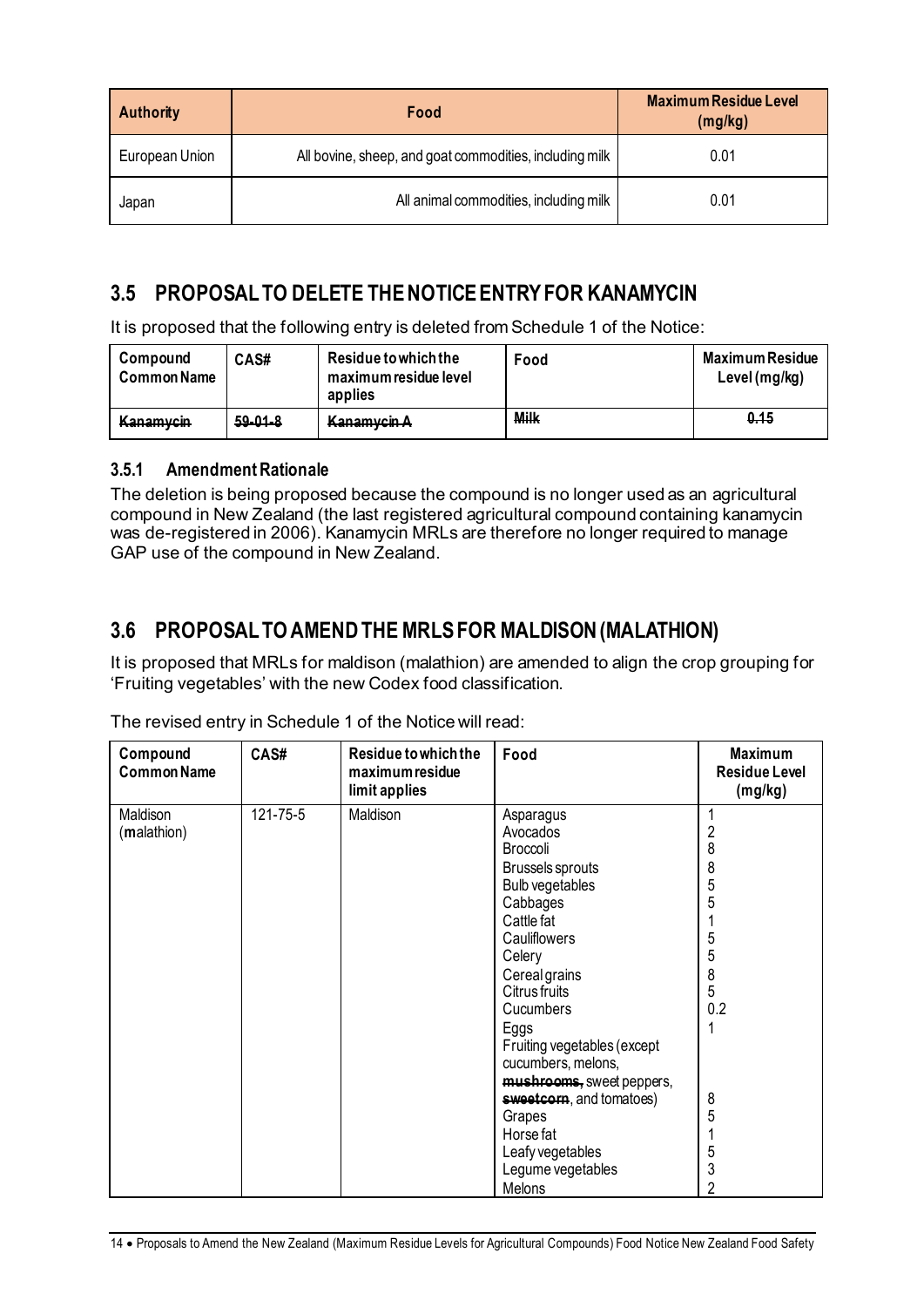| <b>Authority</b> | Food                                                    | <b>Maximum Residue Level</b><br>(mg/kg) |
|------------------|---------------------------------------------------------|-----------------------------------------|
| European Union   | All bovine, sheep, and goat commodities, including milk | 0.01                                    |
| Japan            | All animal commodities, including milk                  | 0.01                                    |

### **3.5 PROPOSAL TO DELETE THE NOTICE ENTRY FOR KANAMYCIN**

It is proposed that the following entry is deleted from Schedule 1 of the Notice:

| Compound<br><b>Common Name</b> | CAS#          | Residue to which the<br>maximum residue level<br>applies | Food        | Maximum Residue<br>Level (mg/kg) |
|--------------------------------|---------------|----------------------------------------------------------|-------------|----------------------------------|
| Kanamycin                      | $59 - 01 - 8$ | Kanamyrin A<br><del>nanamyon <i>n</i></del>              | <b>Milk</b> | <del>0.15</del>                  |

### **3.5.1 Amendment Rationale**

The deletion is being proposed because the compound is no longer used as an agricultural compound in New Zealand (the last registered agricultural compound containing kanamycin was de-registered in 2006). Kanamycin MRLs are therefore no longer required to manage GAP use of the compound in New Zealand.

### **3.6 PROPOSAL TO AMENDTHE MRLS FOR MALDISON (MALATHION)**

It is proposed that MRLs for maldison (malathion) are amended to align the crop grouping for 'Fruiting vegetables' with the new Codex food classification.

| Compound<br><b>Common Name</b> | CAS#           | Residue to which the<br>maximum residue<br>limit applies | Food                                                                                                                                                                                                                                                                                                                                                                               | <b>Maximum</b><br><b>Residue Level</b><br>(mg/kg)                                      |
|--------------------------------|----------------|----------------------------------------------------------|------------------------------------------------------------------------------------------------------------------------------------------------------------------------------------------------------------------------------------------------------------------------------------------------------------------------------------------------------------------------------------|----------------------------------------------------------------------------------------|
| Maldison<br>(malathion)        | $121 - 75 - 5$ | Maldison                                                 | Asparagus<br>Avocados<br>Broccoli<br><b>Brussels sprouts</b><br>Bulb vegetables<br>Cabbages<br>Cattle fat<br>Cauliflowers<br>Celery<br>Cereal grains<br>Citrus fruits<br>Cucumbers<br>Eggs<br>Fruiting vegetables (except<br>cucumbers, melons,<br>mushrooms, sweet peppers,<br>sweetcorn, and tomatoes)<br>Grapes<br>Horse fat<br>Leafy vegetables<br>Legume vegetables<br>Melons | $\overline{c}$<br>8<br>8<br>5<br>5<br>5<br>5<br>8<br>5<br>0.2<br>8<br>5<br>5<br>3<br>2 |

The revised entry in Schedule 1 of the Notice will read: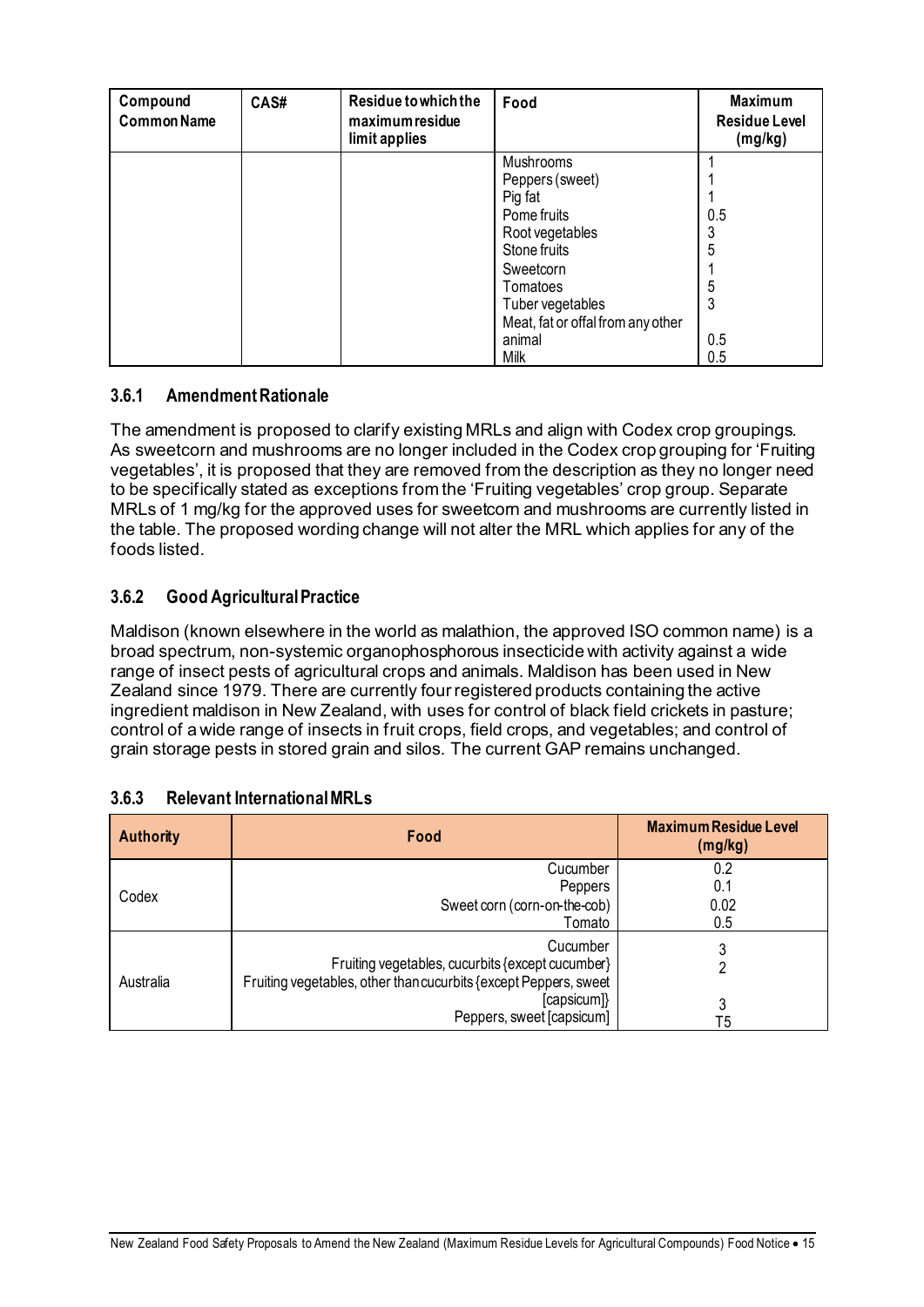| Compound<br><b>Common Name</b> | CAS# | Residue to which the<br>maximum residue<br>limit applies | Food                              | <b>Maximum</b><br><b>Residue Level</b><br>(mg/kg) |
|--------------------------------|------|----------------------------------------------------------|-----------------------------------|---------------------------------------------------|
|                                |      |                                                          | Mushrooms                         |                                                   |
|                                |      |                                                          | Peppers (sweet)                   |                                                   |
|                                |      |                                                          | Pig fat                           |                                                   |
|                                |      |                                                          | Pome fruits                       | 0.5                                               |
|                                |      |                                                          | Root vegetables                   |                                                   |
|                                |      |                                                          | Stone fruits                      | 5                                                 |
|                                |      |                                                          | Sweetcorn                         |                                                   |
|                                |      |                                                          | Tomatoes                          | 5                                                 |
|                                |      |                                                          | Tuber vegetables                  |                                                   |
|                                |      |                                                          | Meat, fat or offal from any other |                                                   |
|                                |      |                                                          | animal                            | 0.5                                               |
|                                |      |                                                          | Milk                              | 0.5                                               |

### **3.6.1 Amendment Rationale**

The amendment is proposed to clarify existing MRLs and align with Codex crop groupings. As sweetcorn and mushrooms are no longer included in the Codex crop grouping for 'Fruiting vegetables', it is proposed that they are removed from the description as they no longer need to be specifically stated as exceptions from the 'Fruiting vegetables' crop group. Separate MRLs of 1 mg/kg for the approved uses for sweetcorn and mushrooms are currently listed in the table. The proposed wording change will not alter the MRL which applies for any of the foods listed.

### **3.6.2 Good Agricultural Practice**

Maldison (known elsewhere in the world as malathion, the approved ISO common name) is a broad spectrum, non-systemic organophosphorous insecticide with activity against a wide range of insect pests of agricultural crops and animals. Maldison has been used in New Zealand since 1979. There are currently four registered products containing the active ingredient maldison in New Zealand, with uses for control of black field crickets in pasture; control of a wide range of insects in fruit crops, field crops, and vegetables; and control of grain storage pests in stored grain and silos. The current GAP remains unchanged.

| <b>Authority</b> | Food                                                             | <b>Maximum Residue Level</b><br>(mg/kg) |
|------------------|------------------------------------------------------------------|-----------------------------------------|
|                  | Cucumber                                                         | 0.2                                     |
| Codex            | Peppers                                                          | 0.1                                     |
|                  | Sweet corn (corn-on-the-cob)                                     | 0.02                                    |
|                  | Tomato                                                           | 0.5                                     |
| Australia        | Cucumber                                                         |                                         |
|                  | Fruiting vegetables, cucurbits {except cucumber}                 |                                         |
|                  | Fruiting vegetables, other than cucurbits {except Peppers, sweet |                                         |
|                  | [capsicum]}                                                      | 3                                       |
|                  | Peppers, sweet [capsicum]                                        | T5                                      |

#### **3.6.3 Relevant International MRLs**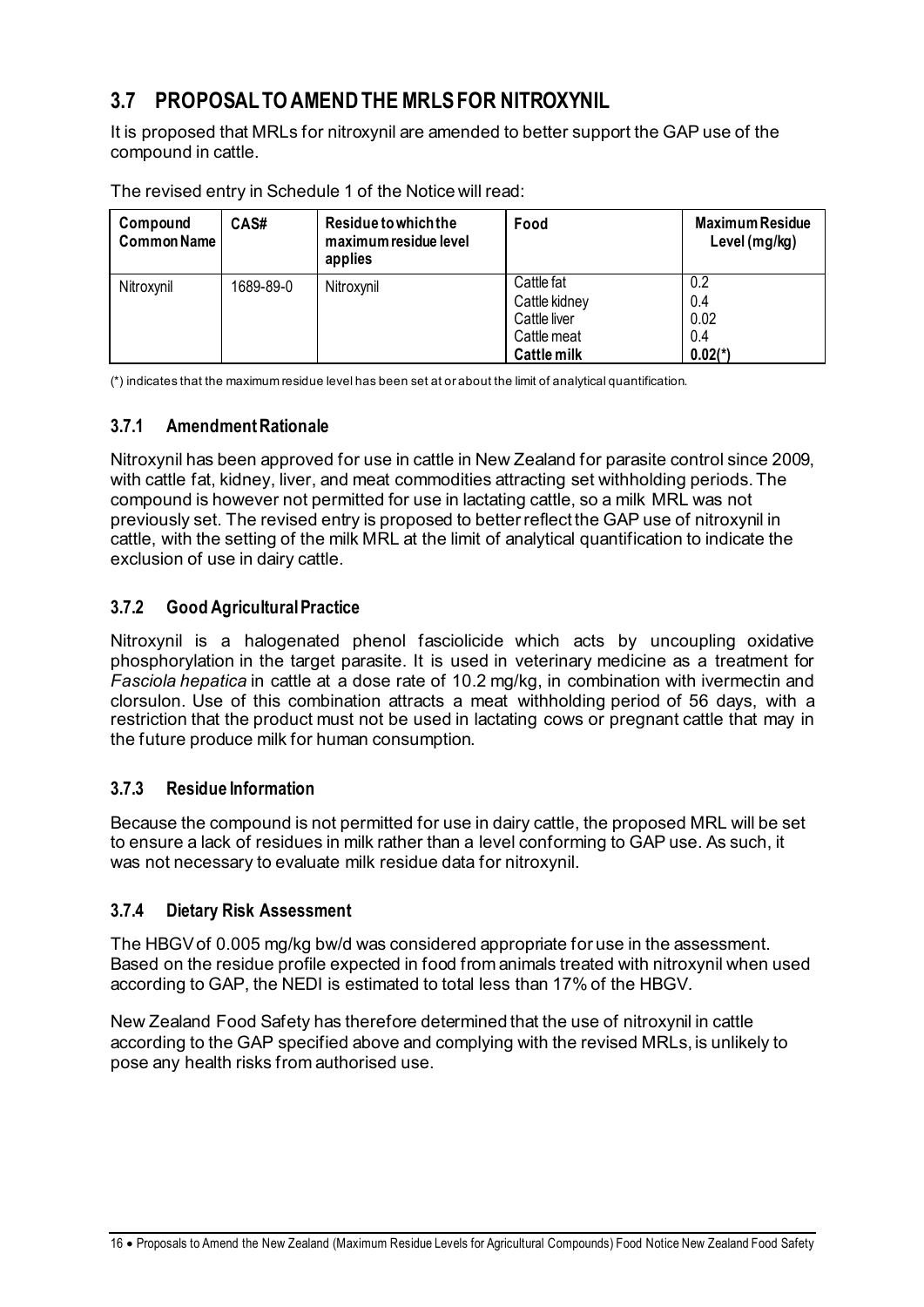### **3.7 PROPOSAL TO AMEND THE MRLS FOR NITROXYNIL**

It is proposed that MRLs for nitroxynil are amended to better support the GAP use of the compound in cattle.

| Compound<br>Common Name | CAS#      | Residue to which the<br>maximum residue level<br>applies | Food                                                                             | <b>Maximum Residue</b><br>Level (mg/kg) |
|-------------------------|-----------|----------------------------------------------------------|----------------------------------------------------------------------------------|-----------------------------------------|
| Nitroxynil              | 1689-89-0 | Nitroxynil                                               | Cattle fat<br>Cattle kidney<br>Cattle liver<br>Cattle meat<br><b>Cattle milk</b> | 0.2<br>0.4<br>0.02<br>0.4<br>$0.02(*)$  |

The revised entry in Schedule 1 of the Notice will read:

(\*) indicates that the maximum residue level has been set at or about the limit of analytical quantification.

### **3.7.1 Amendment Rationale**

Nitroxynil has been approved for use in cattle in New Zealand for parasite control since 2009, with cattle fat, kidney, liver, and meat commodities attracting set withholding periods. The compound is however not permitted for use in lactating cattle, so a milk MRL was not previously set. The revised entry is proposed to better reflect the GAP use of nitroxynil in cattle, with the setting of the milk MRL at the limit of analytical quantification to indicate the exclusion of use in dairy cattle.

### **3.7.2 Good Agricultural Practice**

Nitroxynil is a halogenated phenol fasciolicide which acts by uncoupling oxidative phosphorylation in the target parasite. It is used in veterinary medicine as a treatment for *Fasciola hepatica* in cattle at a dose rate of 10.2 mg/kg, in combination with ivermectin and clorsulon. Use of this combination attracts a meat withholding period of 56 days, with a restriction that the product must not be used in lactating cows or pregnant cattle that may in the future produce milk for human consumption.

### **3.7.3 Residue Information**

Because the compound is not permitted for use in dairy cattle, the proposed MRL will be set to ensure a lack of residues in milk rather than a level conforming to GAP use. As such, it was not necessary to evaluate milk residue data for nitroxynil.

### **3.7.4 Dietary Risk Assessment**

The HBGVof 0.005 mg/kg bw/d was considered appropriate for use in the assessment. Based on the residue profile expected in food from animals treated with nitroxynil when used according to GAP, the NEDI is estimated to total less than 17% of the HBGV.

New Zealand Food Safety has therefore determined that the use of nitroxynil in cattle according to the GAP specified above and complying with the revised MRLs, is unlikely to pose any health risks from authorised use.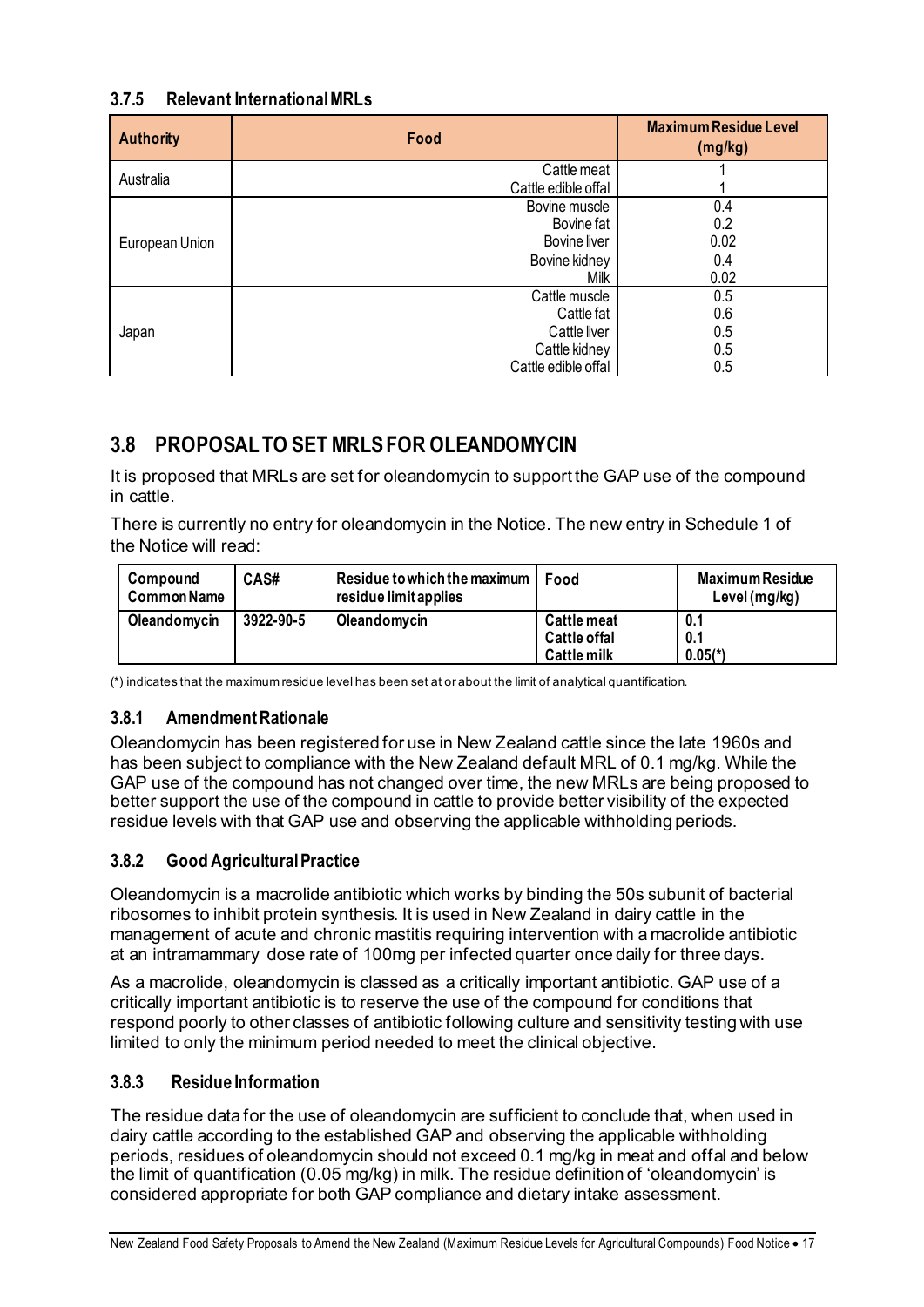### **3.7.5 Relevant International MRLs**

| <b>Authority</b> | Food                | <b>Maximum Residue Level</b><br>(mg/kg) |
|------------------|---------------------|-----------------------------------------|
| Australia        | Cattle meat         |                                         |
|                  | Cattle edible offal |                                         |
|                  | Bovine muscle       | 0.4                                     |
| European Union   | Bovine fat          | 0.2                                     |
|                  | Bovine liver        | 0.02                                    |
|                  | Bovine kidney       | 0.4                                     |
|                  | Milk                | 0.02                                    |
|                  | Cattle muscle       | 0.5                                     |
| Japan            | Cattle fat          | 0.6                                     |
|                  | Cattle liver        | 0.5                                     |
|                  | Cattle kidney       | 0.5                                     |
|                  | Cattle edible offal | 0.5                                     |

### **3.8 PROPOSAL TO SET MRLSFOR OLEANDOMYCIN**

It is proposed that MRLs are set for oleandomycin to support the GAP use of the compound in cattle.

There is currently no entry for oleandomycin in the Notice. The new entry in Schedule 1 of the Notice will read:

| Compound<br><b>Common Name</b> | CAS#      | Residue to which the maximum<br>residue limit applies | Food                                                     | <b>Maximum Residue</b><br>Level $(mg/kg)$ |
|--------------------------------|-----------|-------------------------------------------------------|----------------------------------------------------------|-------------------------------------------|
| Oleandomycin                   | 3922-90-5 | Oleandomycin                                          | <b>Cattle meat</b><br>Cattle offal<br><b>Cattle milk</b> | 0.1<br>0.1<br>$0.05(*)$                   |

(\*) indicates that the maximum residue level has been set at or about the limit of analytical quantification.

### **3.8.1 Amendment Rationale**

Oleandomycin has been registered for use in New Zealand cattle since the late 1960s and has been subject to compliance with the New Zealand default MRL of 0.1 mg/kg. While the GAP use of the compound has not changed over time, the new MRLs are being proposed to better support the use of the compound in cattle to provide better visibility of the expected residue levels with that GAP use and observing the applicable withholding periods.

### **3.8.2 Good Agricultural Practice**

Oleandomycin is a macrolide antibiotic which works by binding the 50s subunit of bacterial ribosomes to inhibit protein synthesis. It is used in New Zealand in dairy cattle in the management of acute and chronic mastitis requiring intervention with a macrolide antibiotic at an intramammary dose rate of 100mg per infected quarter once daily for three days.

As a macrolide, oleandomycin is classed as a critically important antibiotic. GAP use of a critically important antibiotic is to reserve the use of the compound for conditions that respond poorly to other classes of antibiotic following culture and sensitivity testing with use limited to only the minimum period needed to meet the clinical objective.

### **3.8.3 Residue Information**

The residue data for the use of oleandomycin are sufficient to conclude that, when used in dairy cattle according to the established GAP and observing the applicable withholding periods, residues of oleandomycin should not exceed 0.1 mg/kg in meat and offal and below the limit of quantification (0.05 mg/kg) in milk. The residue definition of 'oleandomycin' is considered appropriate for both GAP compliance and dietary intake assessment.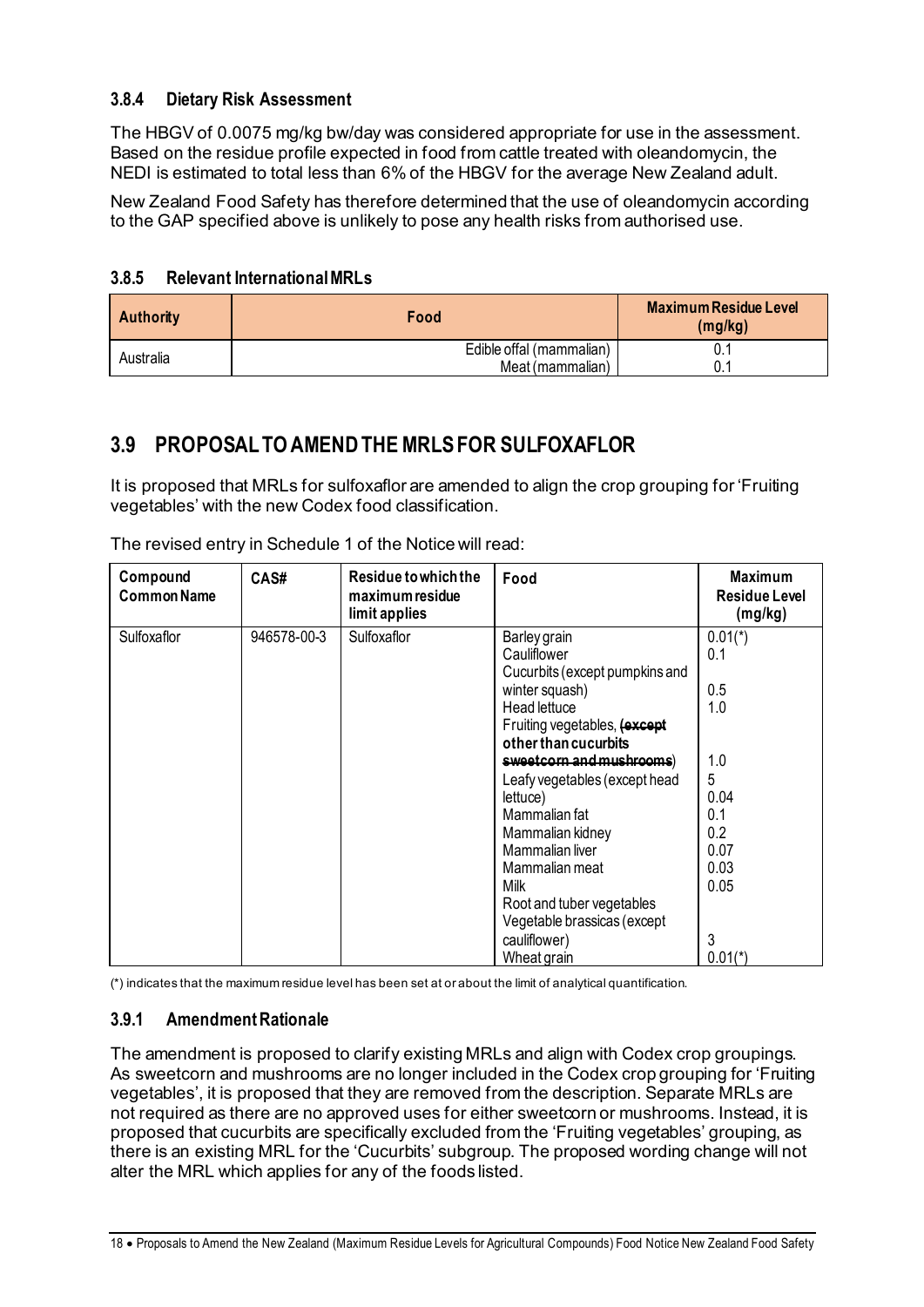### **3.8.4 Dietary Risk Assessment**

The HBGV of 0.0075 mg/kg bw/day was considered appropriate for use in the assessment. Based on the residue profile expected in food from cattle treated with oleandomycin, the NEDI is estimated to total less than 6% of the HBGV for the average New Zealand adult.

New Zealand Food Safety has therefore determined that the use of oleandomycin according to the GAP specified above is unlikely to pose any health risks from authorised use.

### **3.8.5 Relevant International MRLs**

| <b>Authority</b> | Food                                         | <b>Maximum Residue Level</b><br>(mg/kg) |
|------------------|----------------------------------------------|-----------------------------------------|
| Australia        | Edible offal (mammalian)<br>Meat (mammalian) |                                         |

### **3.9 PROPOSAL TO AMENDTHE MRLS FOR SULFOXAFLOR**

It is proposed that MRLs for sulfoxaflor are amended to align the crop grouping for 'Fruiting vegetables' with the new Codex food classification.

| Compound<br><b>Common Name</b> | CAS#        | Residue to which the<br>maximum residue<br>limit applies | Food                                                                                                                                                                                                                                                                                                                                                                                                          | <b>Maximum</b><br>Residue Level<br>(mg/kg)                                                                 |
|--------------------------------|-------------|----------------------------------------------------------|---------------------------------------------------------------------------------------------------------------------------------------------------------------------------------------------------------------------------------------------------------------------------------------------------------------------------------------------------------------------------------------------------------------|------------------------------------------------------------------------------------------------------------|
| Sulfoxaflor                    | 946578-00-3 | Sulfoxaflor                                              | Barley grain<br>Cauliflower<br>Cucurbits (except pumpkins and<br>winter squash)<br>Head lettuce<br>Fruiting vegetables, (except<br>other than cucurbits<br>sweetcorn and mushrooms)<br>Leafy vegetables (except head<br>lettuce)<br>Mammalian fat<br>Mammalian kidney<br>Mammalian liver<br>Mammalian meat<br>Milk<br>Root and tuber vegetables<br>Vegetable brassicas (except<br>cauliflower)<br>Wheat grain | $0.01(*)$<br>0.1<br>0.5<br>1.0<br>1.0<br>5<br>0.04<br>0.1<br>0.2<br>0.07<br>0.03<br>0.05<br>3<br>$0.01(*)$ |

The revised entry in Schedule 1 of the Notice will read:

(\*) indicates that the maximum residue level has been set at or about the limit of analytical quantification.

#### **3.9.1 Amendment Rationale**

The amendment is proposed to clarify existing MRLs and align with Codex crop groupings. As sweetcorn and mushrooms are no longer included in the Codex crop grouping for 'Fruiting vegetables', it is proposed that they are removed from the description. Separate MRLs are not required as there are no approved uses for either sweetcorn or mushrooms. Instead, it is proposed that cucurbits are specifically excluded from the 'Fruiting vegetables' grouping, as there is an existing MRL for the 'Cucurbits' subgroup. The proposed wording change will not alter the MRL which applies for any of the foods listed.

18 • Proposals to Amend the New Zealand (Maximum Residue Levels for Agricultural Compounds) Food Notice New Zealand Food Safety